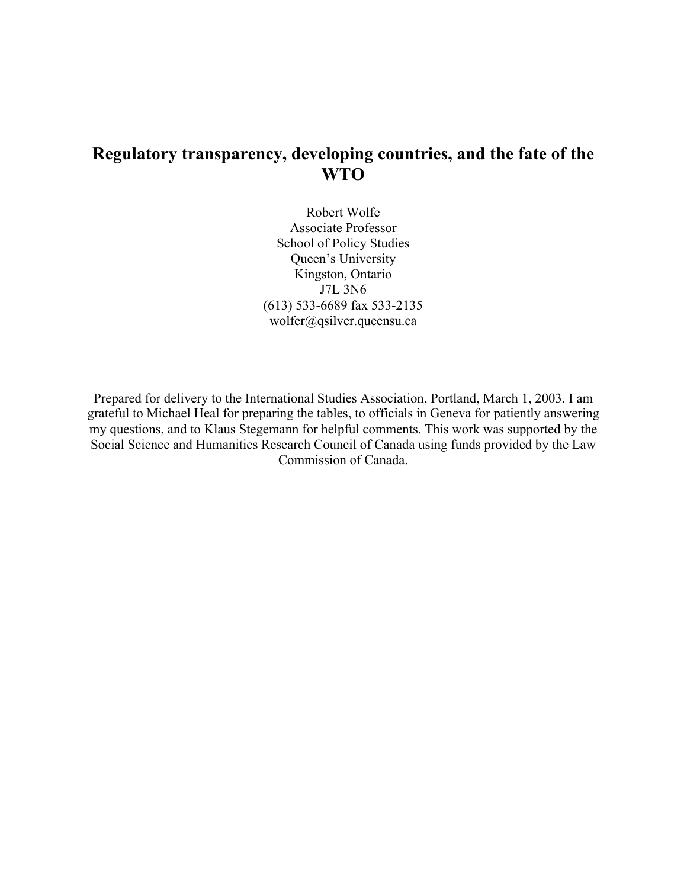# **Regulatory transparency, developing countries, and the fate of the WTO**

Robert Wolfe Associate Professor School of Policy Studies Queen's University Kingston, Ontario J7L 3N6 (613) 533-6689 fax 533-2135 wolfer@qsilver.queensu.ca

Prepared for delivery to the International Studies Association, Portland, March 1, 2003. I am grateful to Michael Heal for preparing the tables, to officials in Geneva for patiently answering my questions, and to Klaus Stegemann for helpful comments. This work was supported by the Social Science and Humanities Research Council of Canada using funds provided by the Law Commission of Canada.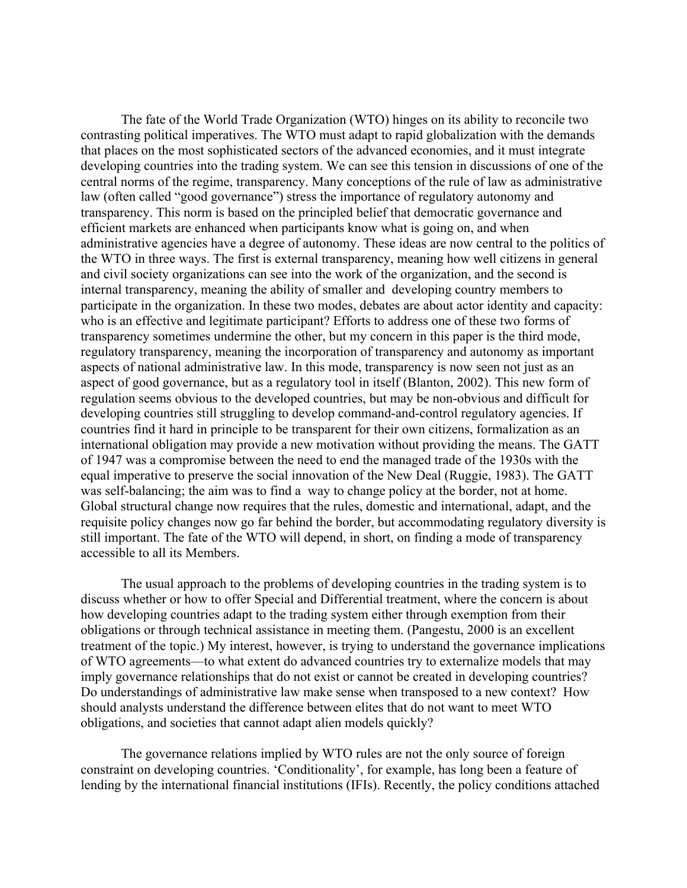The fate of the World Trade Organization (WTO) hinges on its ability to reconcile two contrasting political imperatives. The WTO must adapt to rapid globalization with the demands that places on the most sophisticated sectors of the advanced economies, and it must integrate developing countries into the trading system. We can see this tension in discussions of one of the central norms of the regime, transparency. Many conceptions of the rule of law as administrative law (often called "good governance") stress the importance of regulatory autonomy and transparency. This norm is based on the principled belief that democratic governance and efficient markets are enhanced when participants know what is going on, and when administrative agencies have a degree of autonomy. These ideas are now central to the politics of the WTO in three ways. The first is external transparency, meaning how well citizens in general and civil society organizations can see into the work of the organization, and the second is internal transparency, meaning the ability of smaller and developing country members to participate in the organization. In these two modes, debates are about actor identity and capacity: who is an effective and legitimate participant? Efforts to address one of these two forms of transparency sometimes undermine the other, but my concern in this paper is the third mode, regulatory transparency, meaning the incorporation of transparency and autonomy as important aspects of national administrative law. In this mode, transparency is now seen not just as an aspect of good governance, but as a regulatory tool in itself (Blanton, 2002). This new form of regulation seems obvious to the developed countries, but may be non-obvious and difficult for developing countries still struggling to develop command-and-control regulatory agencies. If countries find it hard in principle to be transparent for their own citizens, formalization as an international obligation may provide a new motivation without providing the means. The GATT of 1947 was a compromise between the need to end the managed trade of the 1930s with the equal imperative to preserve the social innovation of the New Deal (Ruggie, 1983). The GATT was self-balancing; the aim was to find a way to change policy at the border, not at home. Global structural change now requires that the rules, domestic and international, adapt, and the requisite policy changes now go far behind the border, but accommodating regulatory diversity is still important. The fate of the WTO will depend, in short, on finding a mode of transparency accessible to all its Members.

The usual approach to the problems of developing countries in the trading system is to discuss whether or how to offer Special and Differential treatment, where the concern is about how developing countries adapt to the trading system either through exemption from their obligations or through technical assistance in meeting them. (Pangestu, 2000 is an excellent treatment of the topic.) My interest, however, is trying to understand the governance implications of WTO agreements—to what extent do advanced countries try to externalize models that may imply governance relationships that do not exist or cannot be created in developing countries? Do understandings of administrative law make sense when transposed to a new context? How should analysts understand the difference between elites that do not want to meet WTO obligations, and societies that cannot adapt alien models quickly?

The governance relations implied by WTO rules are not the only source of foreign constraint on developing countries. 'Conditionality', for example, has long been a feature of lending by the international financial institutions (IFIs). Recently, the policy conditions attached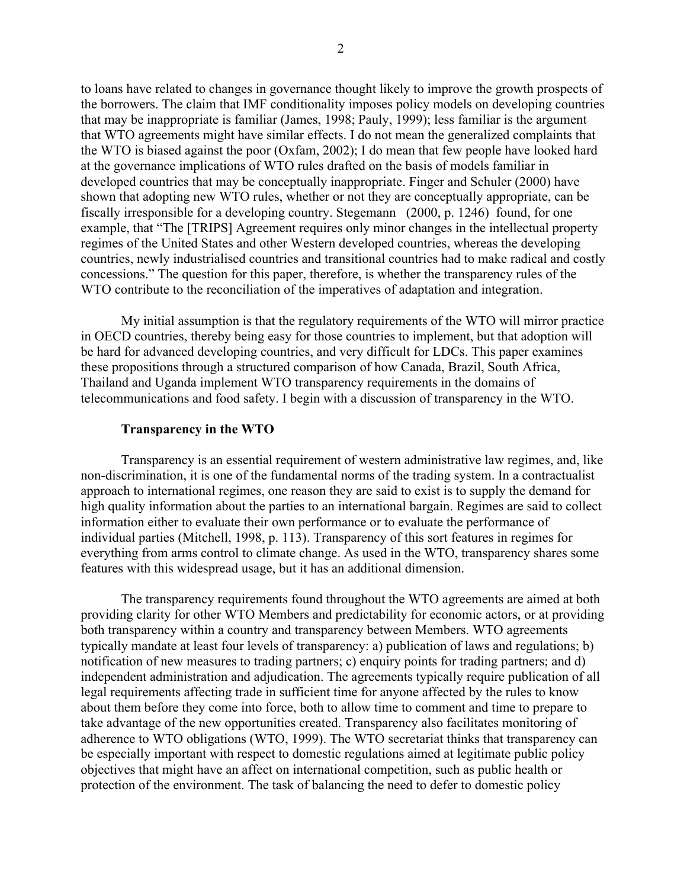to loans have related to changes in governance thought likely to improve the growth prospects of the borrowers. The claim that IMF conditionality imposes policy models on developing countries that may be inappropriate is familiar (James, 1998; Pauly, 1999); less familiar is the argument that WTO agreements might have similar effects. I do not mean the generalized complaints that the WTO is biased against the poor (Oxfam, 2002); I do mean that few people have looked hard at the governance implications of WTO rules drafted on the basis of models familiar in developed countries that may be conceptually inappropriate. Finger and Schuler (2000) have shown that adopting new WTO rules, whether or not they are conceptually appropriate, can be fiscally irresponsible for a developing country. Stegemann (2000, p. 1246) found, for one example, that "The [TRIPS] Agreement requires only minor changes in the intellectual property regimes of the United States and other Western developed countries, whereas the developing countries, newly industrialised countries and transitional countries had to make radical and costly concessions." The question for this paper, therefore, is whether the transparency rules of the WTO contribute to the reconciliation of the imperatives of adaptation and integration.

My initial assumption is that the regulatory requirements of the WTO will mirror practice in OECD countries, thereby being easy for those countries to implement, but that adoption will be hard for advanced developing countries, and very difficult for LDCs. This paper examines these propositions through a structured comparison of how Canada, Brazil, South Africa, Thailand and Uganda implement WTO transparency requirements in the domains of telecommunications and food safety. I begin with a discussion of transparency in the WTO.

#### **Transparency in the WTO**

Transparency is an essential requirement of western administrative law regimes, and, like non-discrimination, it is one of the fundamental norms of the trading system. In a contractualist approach to international regimes, one reason they are said to exist is to supply the demand for high quality information about the parties to an international bargain. Regimes are said to collect information either to evaluate their own performance or to evaluate the performance of individual parties (Mitchell, 1998, p. 113). Transparency of this sort features in regimes for everything from arms control to climate change. As used in the WTO, transparency shares some features with this widespread usage, but it has an additional dimension.

The transparency requirements found throughout the WTO agreements are aimed at both providing clarity for other WTO Members and predictability for economic actors, or at providing both transparency within a country and transparency between Members. WTO agreements typically mandate at least four levels of transparency: a) publication of laws and regulations; b) notification of new measures to trading partners; c) enquiry points for trading partners; and d) independent administration and adjudication. The agreements typically require publication of all legal requirements affecting trade in sufficient time for anyone affected by the rules to know about them before they come into force, both to allow time to comment and time to prepare to take advantage of the new opportunities created. Transparency also facilitates monitoring of adherence to WTO obligations (WTO, 1999). The WTO secretariat thinks that transparency can be especially important with respect to domestic regulations aimed at legitimate public policy objectives that might have an affect on international competition, such as public health or protection of the environment. The task of balancing the need to defer to domestic policy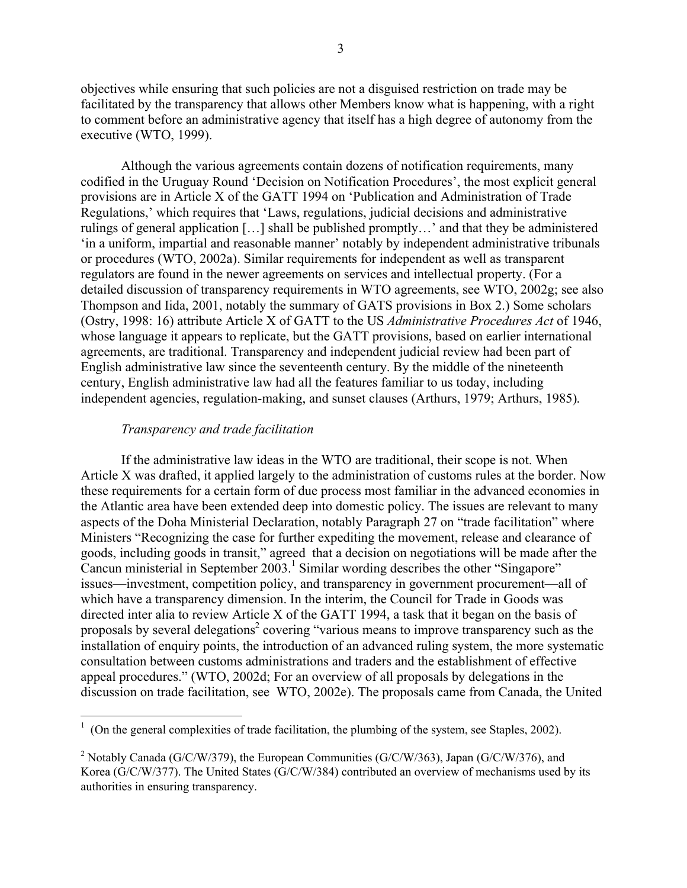3

objectives while ensuring that such policies are not a disguised restriction on trade may be facilitated by the transparency that allows other Members know what is happening, with a right to comment before an administrative agency that itself has a high degree of autonomy from the executive (WTO, 1999).

Although the various agreements contain dozens of notification requirements, many codified in the Uruguay Round 'Decision on Notification Procedures', the most explicit general provisions are in Article X of the GATT 1994 on 'Publication and Administration of Trade Regulations,' which requires that 'Laws, regulations, judicial decisions and administrative rulings of general application […] shall be published promptly…' and that they be administered 'in a uniform, impartial and reasonable manner' notably by independent administrative tribunals or procedures (WTO, 2002a). Similar requirements for independent as well as transparent regulators are found in the newer agreements on services and intellectual property. (For a detailed discussion of transparency requirements in WTO agreements, see WTO, 2002g; see also Thompson and Iida, 2001, notably the summary of GATS provisions in Box 2.) Some scholars (Ostry, 1998: 16) attribute Article X of GATT to the US *Administrative Procedures Act* of 1946, whose language it appears to replicate, but the GATT provisions, based on earlier international agreements, are traditional. Transparency and independent judicial review had been part of English administrative law since the seventeenth century. By the middle of the nineteenth century, English administrative law had all the features familiar to us today, including independent agencies, regulation-making, and sunset clauses (Arthurs, 1979; Arthurs, 1985).

# *Transparency and trade facilitation*

If the administrative law ideas in the WTO are traditional, their scope is not. When Article X was drafted, it applied largely to the administration of customs rules at the border. Now these requirements for a certain form of due process most familiar in the advanced economies in the Atlantic area have been extended deep into domestic policy. The issues are relevant to many aspects of the Doha Ministerial Declaration, notably Paragraph 27 on "trade facilitation" where Ministers "Recognizing the case for further expediting the movement, release and clearance of goods, including goods in transit," agreed that a decision on negotiations will be made after the Cancun ministerial in September 2003.<sup>1</sup> Similar wording describes the other "Singapore" issues—investment, competition policy, and transparency in government procurement—all of which have a transparency dimension. In the interim, the Council for Trade in Goods was directed inter alia to review Article X of the GATT 1994, a task that it began on the basis of proposals by several delegations<sup>2</sup> covering "various means to improve transparency such as the installation of enquiry points, the introduction of an advanced ruling system, the more systematic consultation between customs administrations and traders and the establishment of effective appeal procedures." (WTO, 2002d; For an overview of all proposals by delegations in the discussion on trade facilitation, see WTO, 2002e). The proposals came from Canada, the United

 $\frac{1}{1}$  $\frac{1}{1}$  (On the general complexities of trade facilitation, the plumbing of the system, see Staples, 2002).

<sup>&</sup>lt;sup>2</sup> Notably Canada (G/C/W/379), the European Communities (G/C/W/363), Japan (G/C/W/376), and Korea (G/C/W/377). The United States (G/C/W/384) contributed an overview of mechanisms used by its authorities in ensuring transparency.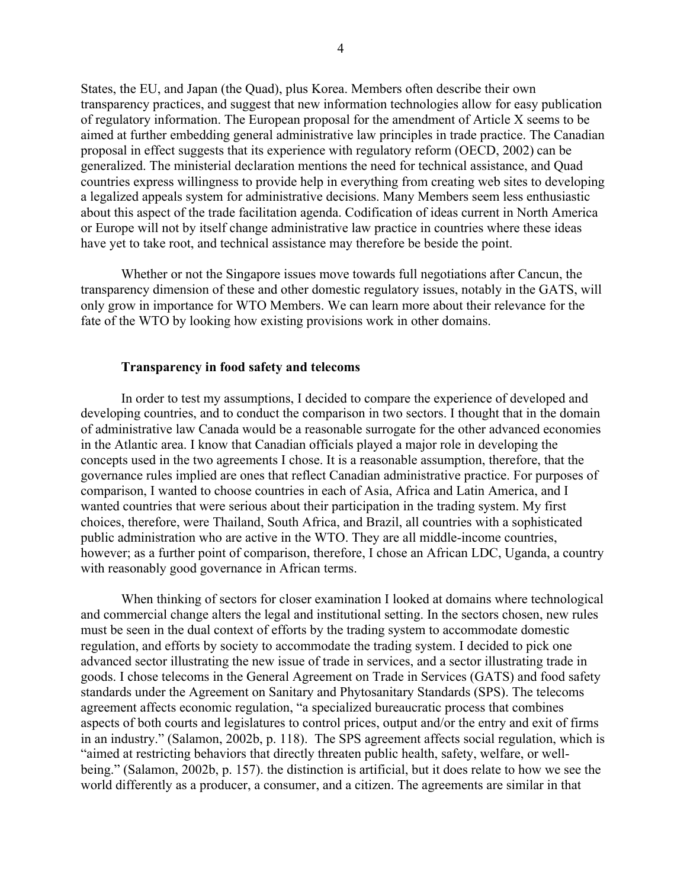States, the EU, and Japan (the Quad), plus Korea. Members often describe their own transparency practices, and suggest that new information technologies allow for easy publication of regulatory information. The European proposal for the amendment of Article X seems to be aimed at further embedding general administrative law principles in trade practice. The Canadian proposal in effect suggests that its experience with regulatory reform (OECD, 2002) can be generalized. The ministerial declaration mentions the need for technical assistance, and Quad countries express willingness to provide help in everything from creating web sites to developing a legalized appeals system for administrative decisions. Many Members seem less enthusiastic about this aspect of the trade facilitation agenda. Codification of ideas current in North America or Europe will not by itself change administrative law practice in countries where these ideas have yet to take root, and technical assistance may therefore be beside the point.

Whether or not the Singapore issues move towards full negotiations after Cancun, the transparency dimension of these and other domestic regulatory issues, notably in the GATS, will only grow in importance for WTO Members. We can learn more about their relevance for the fate of the WTO by looking how existing provisions work in other domains.

#### **Transparency in food safety and telecoms**

In order to test my assumptions, I decided to compare the experience of developed and developing countries, and to conduct the comparison in two sectors. I thought that in the domain of administrative law Canada would be a reasonable surrogate for the other advanced economies in the Atlantic area. I know that Canadian officials played a major role in developing the concepts used in the two agreements I chose. It is a reasonable assumption, therefore, that the governance rules implied are ones that reflect Canadian administrative practice. For purposes of comparison, I wanted to choose countries in each of Asia, Africa and Latin America, and I wanted countries that were serious about their participation in the trading system. My first choices, therefore, were Thailand, South Africa, and Brazil, all countries with a sophisticated public administration who are active in the WTO. They are all middle-income countries, however; as a further point of comparison, therefore, I chose an African LDC, Uganda, a country with reasonably good governance in African terms.

When thinking of sectors for closer examination I looked at domains where technological and commercial change alters the legal and institutional setting. In the sectors chosen, new rules must be seen in the dual context of efforts by the trading system to accommodate domestic regulation, and efforts by society to accommodate the trading system. I decided to pick one advanced sector illustrating the new issue of trade in services, and a sector illustrating trade in goods. I chose telecoms in the General Agreement on Trade in Services (GATS) and food safety standards under the Agreement on Sanitary and Phytosanitary Standards (SPS). The telecoms agreement affects economic regulation, "a specialized bureaucratic process that combines aspects of both courts and legislatures to control prices, output and/or the entry and exit of firms in an industry." (Salamon, 2002b, p. 118). The SPS agreement affects social regulation, which is "aimed at restricting behaviors that directly threaten public health, safety, welfare, or wellbeing." (Salamon, 2002b, p. 157). the distinction is artificial, but it does relate to how we see the world differently as a producer, a consumer, and a citizen. The agreements are similar in that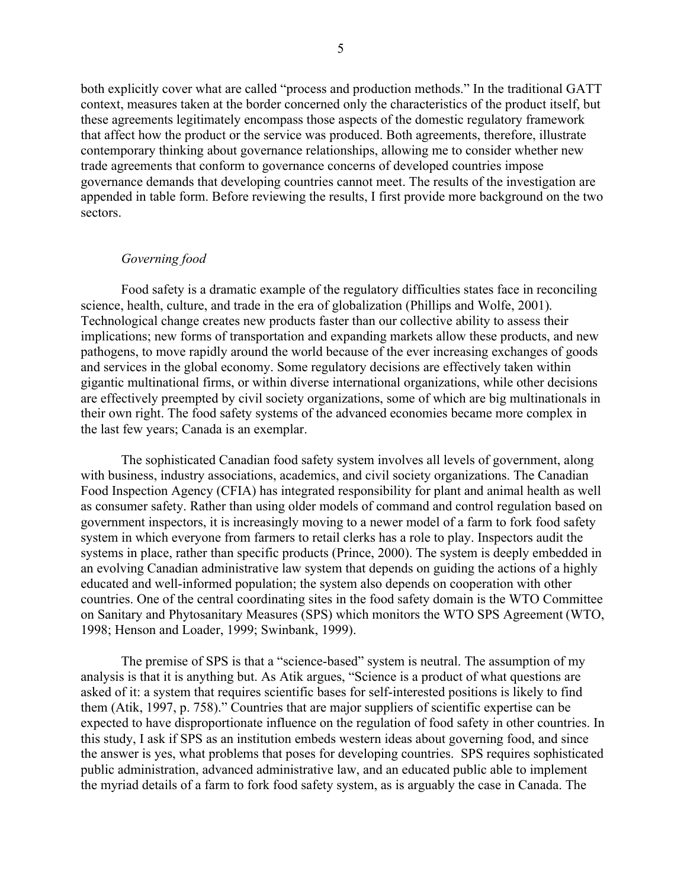both explicitly cover what are called "process and production methods." In the traditional GATT context, measures taken at the border concerned only the characteristics of the product itself, but these agreements legitimately encompass those aspects of the domestic regulatory framework that affect how the product or the service was produced. Both agreements, therefore, illustrate contemporary thinking about governance relationships, allowing me to consider whether new trade agreements that conform to governance concerns of developed countries impose governance demands that developing countries cannot meet. The results of the investigation are appended in table form. Before reviewing the results, I first provide more background on the two sectors.

# *Governing food*

Food safety is a dramatic example of the regulatory difficulties states face in reconciling science, health, culture, and trade in the era of globalization (Phillips and Wolfe, 2001). Technological change creates new products faster than our collective ability to assess their implications; new forms of transportation and expanding markets allow these products, and new pathogens, to move rapidly around the world because of the ever increasing exchanges of goods and services in the global economy. Some regulatory decisions are effectively taken within gigantic multinational firms, or within diverse international organizations, while other decisions are effectively preempted by civil society organizations, some of which are big multinationals in their own right. The food safety systems of the advanced economies became more complex in the last few years; Canada is an exemplar.

The sophisticated Canadian food safety system involves all levels of government, along with business, industry associations, academics, and civil society organizations. The Canadian Food Inspection Agency (CFIA) has integrated responsibility for plant and animal health as well as consumer safety. Rather than using older models of command and control regulation based on government inspectors, it is increasingly moving to a newer model of a farm to fork food safety system in which everyone from farmers to retail clerks has a role to play. Inspectors audit the systems in place, rather than specific products (Prince, 2000). The system is deeply embedded in an evolving Canadian administrative law system that depends on guiding the actions of a highly educated and well-informed population; the system also depends on cooperation with other countries. One of the central coordinating sites in the food safety domain is the WTO Committee on Sanitary and Phytosanitary Measures (SPS) which monitors the WTO SPS Agreement (WTO, 1998; Henson and Loader, 1999; Swinbank, 1999).

The premise of SPS is that a "science-based" system is neutral. The assumption of my analysis is that it is anything but. As Atik argues, "Science is a product of what questions are asked of it: a system that requires scientific bases for self-interested positions is likely to find them (Atik, 1997, p. 758)." Countries that are major suppliers of scientific expertise can be expected to have disproportionate influence on the regulation of food safety in other countries. In this study, I ask if SPS as an institution embeds western ideas about governing food, and since the answer is yes, what problems that poses for developing countries. SPS requires sophisticated public administration, advanced administrative law, and an educated public able to implement the myriad details of a farm to fork food safety system, as is arguably the case in Canada. The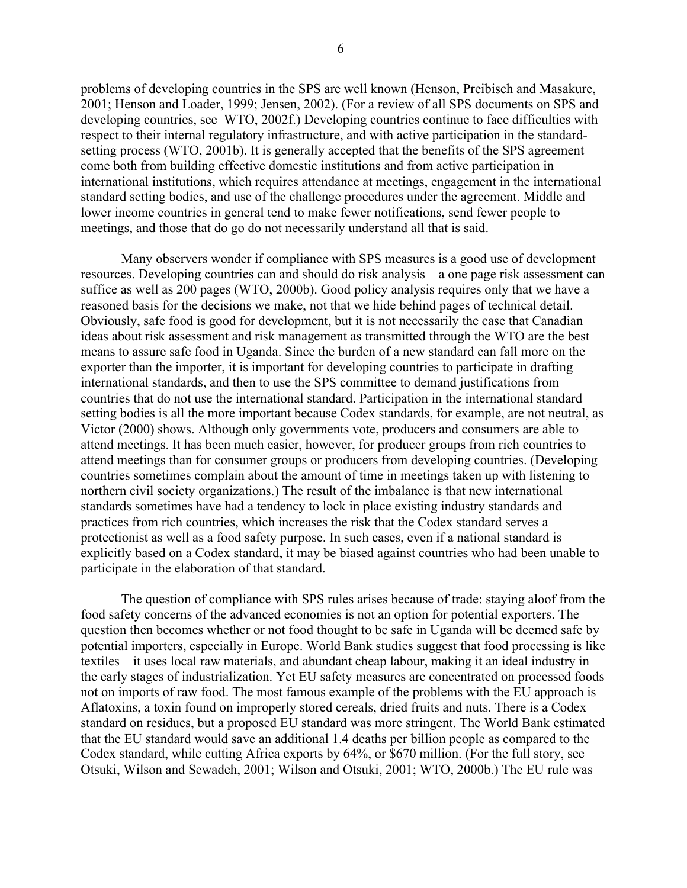problems of developing countries in the SPS are well known (Henson, Preibisch and Masakure, 2001; Henson and Loader, 1999; Jensen, 2002). (For a review of all SPS documents on SPS and developing countries, see WTO, 2002f.) Developing countries continue to face difficulties with respect to their internal regulatory infrastructure, and with active participation in the standardsetting process (WTO, 2001b). It is generally accepted that the benefits of the SPS agreement come both from building effective domestic institutions and from active participation in international institutions, which requires attendance at meetings, engagement in the international standard setting bodies, and use of the challenge procedures under the agreement. Middle and lower income countries in general tend to make fewer notifications, send fewer people to meetings, and those that do go do not necessarily understand all that is said.

Many observers wonder if compliance with SPS measures is a good use of development resources. Developing countries can and should do risk analysis—a one page risk assessment can suffice as well as 200 pages (WTO, 2000b). Good policy analysis requires only that we have a reasoned basis for the decisions we make, not that we hide behind pages of technical detail. Obviously, safe food is good for development, but it is not necessarily the case that Canadian ideas about risk assessment and risk management as transmitted through the WTO are the best means to assure safe food in Uganda. Since the burden of a new standard can fall more on the exporter than the importer, it is important for developing countries to participate in drafting international standards, and then to use the SPS committee to demand justifications from countries that do not use the international standard. Participation in the international standard setting bodies is all the more important because Codex standards, for example, are not neutral, as Victor (2000) shows. Although only governments vote, producers and consumers are able to attend meetings. It has been much easier, however, for producer groups from rich countries to attend meetings than for consumer groups or producers from developing countries. (Developing countries sometimes complain about the amount of time in meetings taken up with listening to northern civil society organizations.) The result of the imbalance is that new international standards sometimes have had a tendency to lock in place existing industry standards and practices from rich countries, which increases the risk that the Codex standard serves a protectionist as well as a food safety purpose. In such cases, even if a national standard is explicitly based on a Codex standard, it may be biased against countries who had been unable to participate in the elaboration of that standard.

The question of compliance with SPS rules arises because of trade: staying aloof from the food safety concerns of the advanced economies is not an option for potential exporters. The question then becomes whether or not food thought to be safe in Uganda will be deemed safe by potential importers, especially in Europe. World Bank studies suggest that food processing is like textiles—it uses local raw materials, and abundant cheap labour, making it an ideal industry in the early stages of industrialization. Yet EU safety measures are concentrated on processed foods not on imports of raw food. The most famous example of the problems with the EU approach is Aflatoxins, a toxin found on improperly stored cereals, dried fruits and nuts. There is a Codex standard on residues, but a proposed EU standard was more stringent. The World Bank estimated that the EU standard would save an additional 1.4 deaths per billion people as compared to the Codex standard, while cutting Africa exports by 64%, or \$670 million. (For the full story, see Otsuki, Wilson and Sewadeh, 2001; Wilson and Otsuki, 2001; WTO, 2000b.) The EU rule was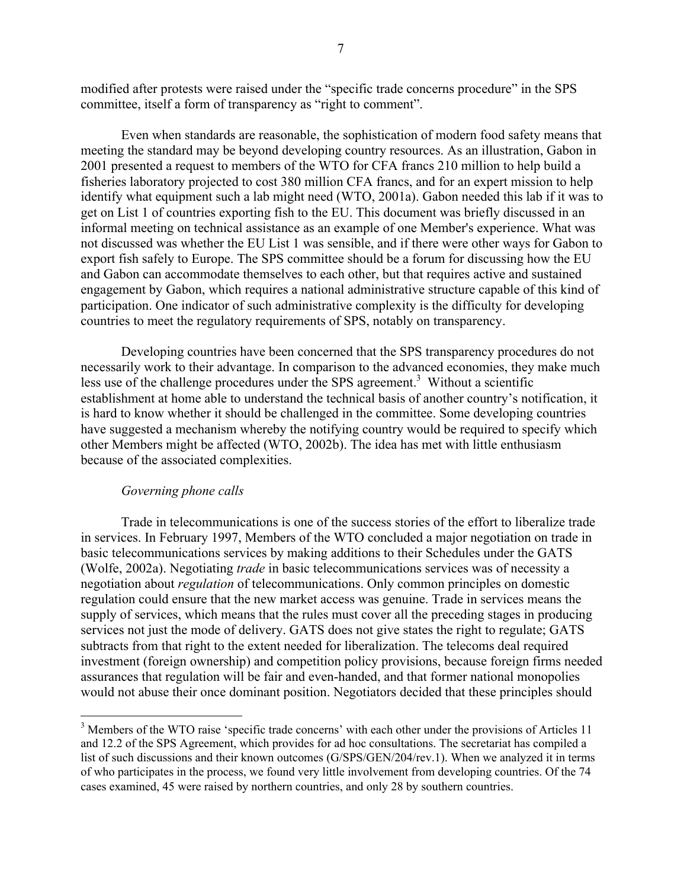modified after protests were raised under the "specific trade concerns procedure" in the SPS committee, itself a form of transparency as "right to comment".

Even when standards are reasonable, the sophistication of modern food safety means that meeting the standard may be beyond developing country resources. As an illustration, Gabon in 2001 presented a request to members of the WTO for CFA francs 210 million to help build a fisheries laboratory projected to cost 380 million CFA francs, and for an expert mission to help identify what equipment such a lab might need (WTO, 2001a). Gabon needed this lab if it was to get on List 1 of countries exporting fish to the EU. This document was briefly discussed in an informal meeting on technical assistance as an example of one Member's experience. What was not discussed was whether the EU List 1 was sensible, and if there were other ways for Gabon to export fish safely to Europe. The SPS committee should be a forum for discussing how the EU and Gabon can accommodate themselves to each other, but that requires active and sustained engagement by Gabon, which requires a national administrative structure capable of this kind of participation. One indicator of such administrative complexity is the difficulty for developing countries to meet the regulatory requirements of SPS, notably on transparency.

Developing countries have been concerned that the SPS transparency procedures do not necessarily work to their advantage. In comparison to the advanced economies, they make much less use of the challenge procedures under the SPS agreement.<sup>3</sup> Without a scientific establishment at home able to understand the technical basis of another country's notification, it is hard to know whether it should be challenged in the committee. Some developing countries have suggested a mechanism whereby the notifying country would be required to specify which other Members might be affected (WTO, 2002b). The idea has met with little enthusiasm because of the associated complexities.

#### *Governing phone calls*

Trade in telecommunications is one of the success stories of the effort to liberalize trade in services. In February 1997, Members of the WTO concluded a major negotiation on trade in basic telecommunications services by making additions to their Schedules under the GATS (Wolfe, 2002a). Negotiating *trade* in basic telecommunications services was of necessity a negotiation about *regulation* of telecommunications. Only common principles on domestic regulation could ensure that the new market access was genuine. Trade in services means the supply of services, which means that the rules must cover all the preceding stages in producing services not just the mode of delivery. GATS does not give states the right to regulate; GATS subtracts from that right to the extent needed for liberalization. The telecoms deal required investment (foreign ownership) and competition policy provisions, because foreign firms needed assurances that regulation will be fair and even-handed, and that former national monopolies would not abuse their once dominant position. Negotiators decided that these principles should

<sup>&</sup>lt;sup>3</sup> <sup>3</sup> Members of the WTO raise 'specific trade concerns' with each other under the provisions of Articles 11 and 12.2 of the SPS Agreement, which provides for ad hoc consultations. The secretariat has compiled a list of such discussions and their known outcomes (G/SPS/GEN/204/rev.1). When we analyzed it in terms of who participates in the process, we found very little involvement from developing countries. Of the 74 cases examined, 45 were raised by northern countries, and only 28 by southern countries.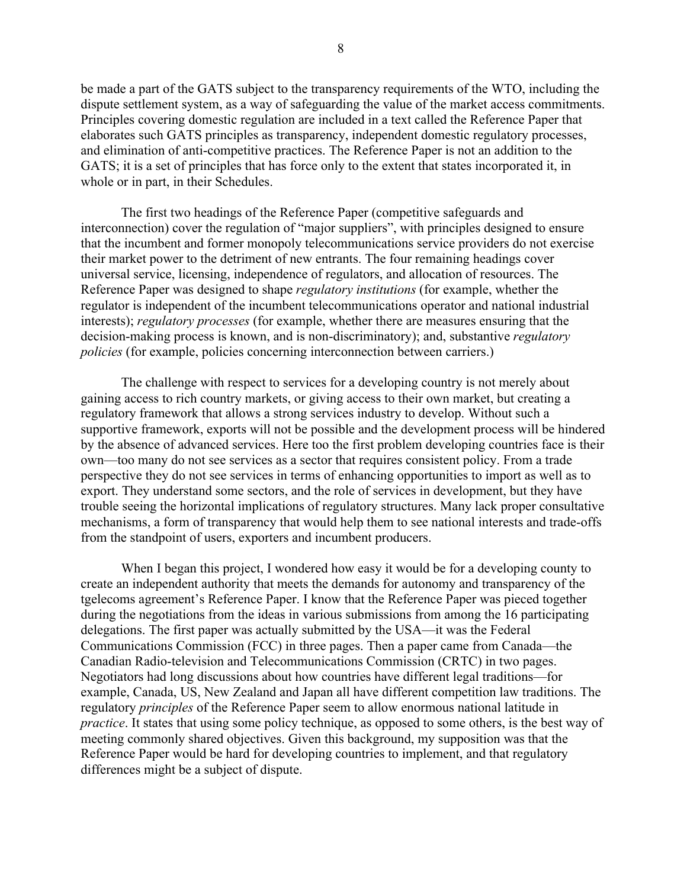be made a part of the GATS subject to the transparency requirements of the WTO, including the dispute settlement system, as a way of safeguarding the value of the market access commitments. Principles covering domestic regulation are included in a text called the Reference Paper that elaborates such GATS principles as transparency, independent domestic regulatory processes, and elimination of anti-competitive practices. The Reference Paper is not an addition to the GATS; it is a set of principles that has force only to the extent that states incorporated it, in whole or in part, in their Schedules.

The first two headings of the Reference Paper (competitive safeguards and interconnection) cover the regulation of "major suppliers", with principles designed to ensure that the incumbent and former monopoly telecommunications service providers do not exercise their market power to the detriment of new entrants. The four remaining headings cover universal service, licensing, independence of regulators, and allocation of resources. The Reference Paper was designed to shape *regulatory institutions* (for example, whether the regulator is independent of the incumbent telecommunications operator and national industrial interests); *regulatory processes* (for example, whether there are measures ensuring that the decision-making process is known, and is non-discriminatory); and, substantive *regulatory policies* (for example, policies concerning interconnection between carriers.)

The challenge with respect to services for a developing country is not merely about gaining access to rich country markets, or giving access to their own market, but creating a regulatory framework that allows a strong services industry to develop. Without such a supportive framework, exports will not be possible and the development process will be hindered by the absence of advanced services. Here too the first problem developing countries face is their own—too many do not see services as a sector that requires consistent policy. From a trade perspective they do not see services in terms of enhancing opportunities to import as well as to export. They understand some sectors, and the role of services in development, but they have trouble seeing the horizontal implications of regulatory structures. Many lack proper consultative mechanisms, a form of transparency that would help them to see national interests and trade-offs from the standpoint of users, exporters and incumbent producers.

When I began this project, I wondered how easy it would be for a developing county to create an independent authority that meets the demands for autonomy and transparency of the tgelecoms agreement's Reference Paper. I know that the Reference Paper was pieced together during the negotiations from the ideas in various submissions from among the 16 participating delegations. The first paper was actually submitted by the USA—it was the Federal Communications Commission (FCC) in three pages. Then a paper came from Canada—the Canadian Radio-television and Telecommunications Commission (CRTC) in two pages. Negotiators had long discussions about how countries have different legal traditions—for example, Canada, US, New Zealand and Japan all have different competition law traditions. The regulatory *principles* of the Reference Paper seem to allow enormous national latitude in *practice*. It states that using some policy technique, as opposed to some others, is the best way of meeting commonly shared objectives. Given this background, my supposition was that the Reference Paper would be hard for developing countries to implement, and that regulatory differences might be a subject of dispute.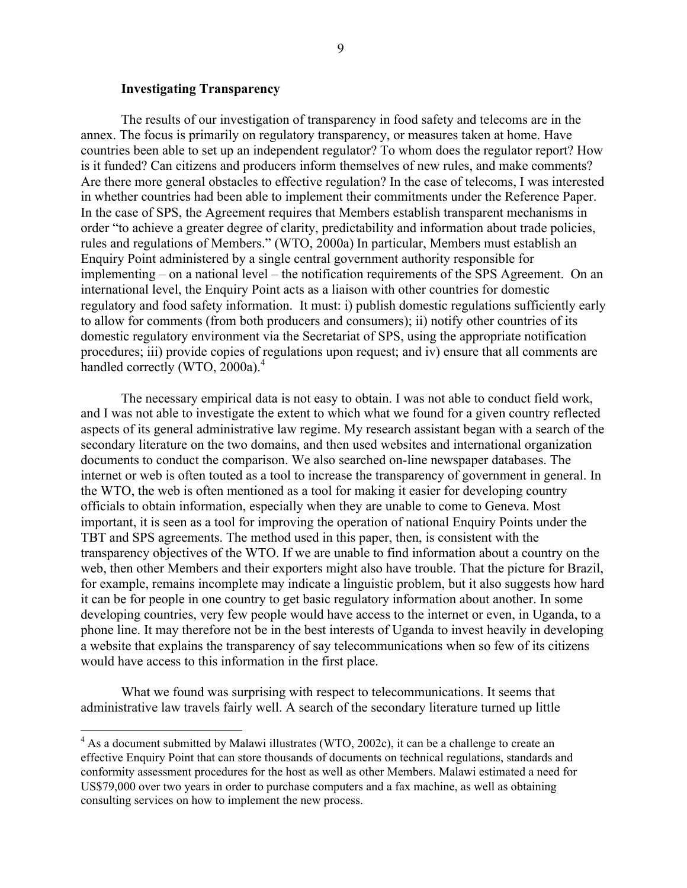## **Investigating Transparency**

The results of our investigation of transparency in food safety and telecoms are in the annex. The focus is primarily on regulatory transparency, or measures taken at home. Have countries been able to set up an independent regulator? To whom does the regulator report? How is it funded? Can citizens and producers inform themselves of new rules, and make comments? Are there more general obstacles to effective regulation? In the case of telecoms, I was interested in whether countries had been able to implement their commitments under the Reference Paper. In the case of SPS, the Agreement requires that Members establish transparent mechanisms in order "to achieve a greater degree of clarity, predictability and information about trade policies, rules and regulations of Members." (WTO, 2000a) In particular, Members must establish an Enquiry Point administered by a single central government authority responsible for implementing – on a national level – the notification requirements of the SPS Agreement. On an international level, the Enquiry Point acts as a liaison with other countries for domestic regulatory and food safety information. It must: i) publish domestic regulations sufficiently early to allow for comments (from both producers and consumers); ii) notify other countries of its domestic regulatory environment via the Secretariat of SPS, using the appropriate notification procedures; iii) provide copies of regulations upon request; and iv) ensure that all comments are handled correctly (WTO, 2000a).<sup>4</sup>

The necessary empirical data is not easy to obtain. I was not able to conduct field work, and I was not able to investigate the extent to which what we found for a given country reflected aspects of its general administrative law regime. My research assistant began with a search of the secondary literature on the two domains, and then used websites and international organization documents to conduct the comparison. We also searched on-line newspaper databases. The internet or web is often touted as a tool to increase the transparency of government in general. In the WTO, the web is often mentioned as a tool for making it easier for developing country officials to obtain information, especially when they are unable to come to Geneva. Most important, it is seen as a tool for improving the operation of national Enquiry Points under the TBT and SPS agreements. The method used in this paper, then, is consistent with the transparency objectives of the WTO. If we are unable to find information about a country on the web, then other Members and their exporters might also have trouble. That the picture for Brazil, for example, remains incomplete may indicate a linguistic problem, but it also suggests how hard it can be for people in one country to get basic regulatory information about another. In some developing countries, very few people would have access to the internet or even, in Uganda, to a phone line. It may therefore not be in the best interests of Uganda to invest heavily in developing a website that explains the transparency of say telecommunications when so few of its citizens would have access to this information in the first place.

What we found was surprising with respect to telecommunications. It seems that administrative law travels fairly well. A search of the secondary literature turned up little

 $\frac{1}{4}$  $4$  As a document submitted by Malawi illustrates (WTO, 2002c), it can be a challenge to create an effective Enquiry Point that can store thousands of documents on technical regulations, standards and conformity assessment procedures for the host as well as other Members. Malawi estimated a need for US\$79,000 over two years in order to purchase computers and a fax machine, as well as obtaining consulting services on how to implement the new process.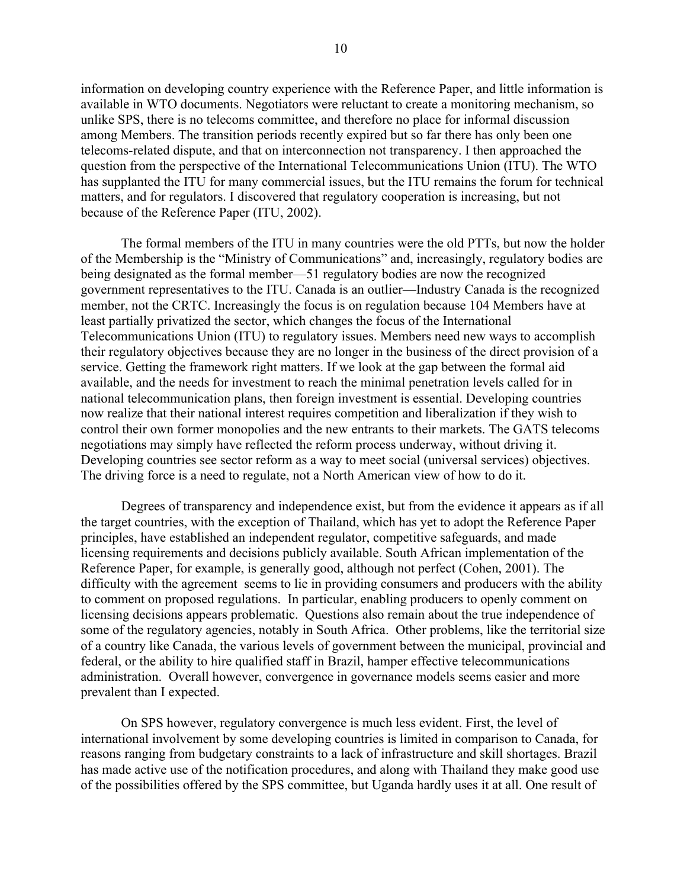information on developing country experience with the Reference Paper, and little information is available in WTO documents. Negotiators were reluctant to create a monitoring mechanism, so unlike SPS, there is no telecoms committee, and therefore no place for informal discussion among Members. The transition periods recently expired but so far there has only been one telecoms-related dispute, and that on interconnection not transparency. I then approached the question from the perspective of the International Telecommunications Union (ITU). The WTO has supplanted the ITU for many commercial issues, but the ITU remains the forum for technical matters, and for regulators. I discovered that regulatory cooperation is increasing, but not because of the Reference Paper (ITU, 2002).

The formal members of the ITU in many countries were the old PTTs, but now the holder of the Membership is the "Ministry of Communications" and, increasingly, regulatory bodies are being designated as the formal member—51 regulatory bodies are now the recognized government representatives to the ITU. Canada is an outlier—Industry Canada is the recognized member, not the CRTC. Increasingly the focus is on regulation because 104 Members have at least partially privatized the sector, which changes the focus of the International Telecommunications Union (ITU) to regulatory issues. Members need new ways to accomplish their regulatory objectives because they are no longer in the business of the direct provision of a service. Getting the framework right matters. If we look at the gap between the formal aid available, and the needs for investment to reach the minimal penetration levels called for in national telecommunication plans, then foreign investment is essential. Developing countries now realize that their national interest requires competition and liberalization if they wish to control their own former monopolies and the new entrants to their markets. The GATS telecoms negotiations may simply have reflected the reform process underway, without driving it. Developing countries see sector reform as a way to meet social (universal services) objectives. The driving force is a need to regulate, not a North American view of how to do it.

Degrees of transparency and independence exist, but from the evidence it appears as if all the target countries, with the exception of Thailand, which has yet to adopt the Reference Paper principles, have established an independent regulator, competitive safeguards, and made licensing requirements and decisions publicly available. South African implementation of the Reference Paper, for example, is generally good, although not perfect (Cohen, 2001). The difficulty with the agreement seems to lie in providing consumers and producers with the ability to comment on proposed regulations. In particular, enabling producers to openly comment on licensing decisions appears problematic. Questions also remain about the true independence of some of the regulatory agencies, notably in South Africa. Other problems, like the territorial size of a country like Canada, the various levels of government between the municipal, provincial and federal, or the ability to hire qualified staff in Brazil, hamper effective telecommunications administration. Overall however, convergence in governance models seems easier and more prevalent than I expected.

On SPS however, regulatory convergence is much less evident. First, the level of international involvement by some developing countries is limited in comparison to Canada, for reasons ranging from budgetary constraints to a lack of infrastructure and skill shortages. Brazil has made active use of the notification procedures, and along with Thailand they make good use of the possibilities offered by the SPS committee, but Uganda hardly uses it at all. One result of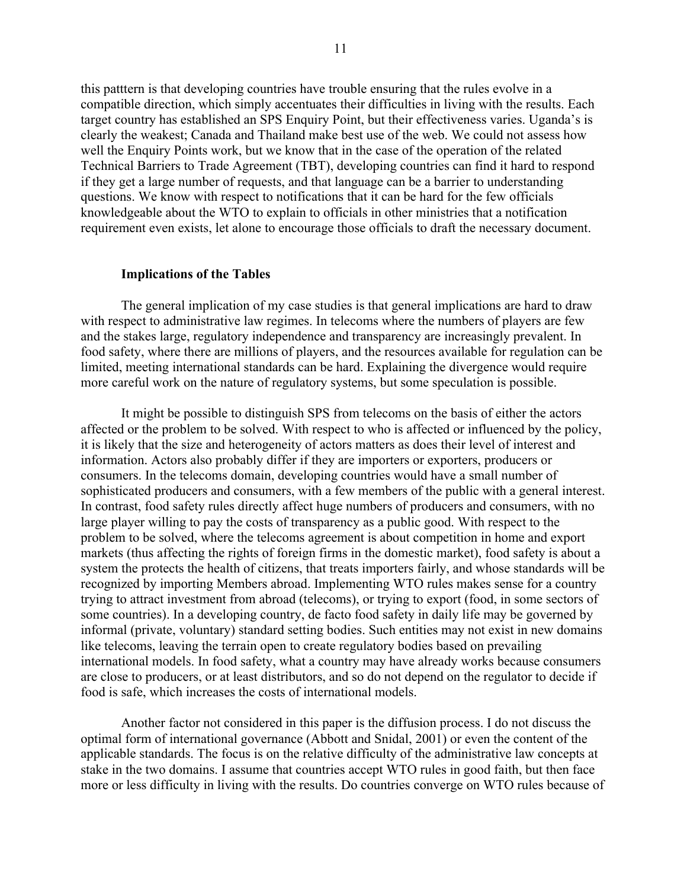this patttern is that developing countries have trouble ensuring that the rules evolve in a compatible direction, which simply accentuates their difficulties in living with the results. Each target country has established an SPS Enquiry Point, but their effectiveness varies. Uganda's is clearly the weakest; Canada and Thailand make best use of the web. We could not assess how well the Enquiry Points work, but we know that in the case of the operation of the related Technical Barriers to Trade Agreement (TBT), developing countries can find it hard to respond if they get a large number of requests, and that language can be a barrier to understanding questions. We know with respect to notifications that it can be hard for the few officials knowledgeable about the WTO to explain to officials in other ministries that a notification requirement even exists, let alone to encourage those officials to draft the necessary document.

### **Implications of the Tables**

The general implication of my case studies is that general implications are hard to draw with respect to administrative law regimes. In telecoms where the numbers of players are few and the stakes large, regulatory independence and transparency are increasingly prevalent. In food safety, where there are millions of players, and the resources available for regulation can be limited, meeting international standards can be hard. Explaining the divergence would require more careful work on the nature of regulatory systems, but some speculation is possible.

It might be possible to distinguish SPS from telecoms on the basis of either the actors affected or the problem to be solved. With respect to who is affected or influenced by the policy, it is likely that the size and heterogeneity of actors matters as does their level of interest and information. Actors also probably differ if they are importers or exporters, producers or consumers. In the telecoms domain, developing countries would have a small number of sophisticated producers and consumers, with a few members of the public with a general interest. In contrast, food safety rules directly affect huge numbers of producers and consumers, with no large player willing to pay the costs of transparency as a public good. With respect to the problem to be solved, where the telecoms agreement is about competition in home and export markets (thus affecting the rights of foreign firms in the domestic market), food safety is about a system the protects the health of citizens, that treats importers fairly, and whose standards will be recognized by importing Members abroad. Implementing WTO rules makes sense for a country trying to attract investment from abroad (telecoms), or trying to export (food, in some sectors of some countries). In a developing country, de facto food safety in daily life may be governed by informal (private, voluntary) standard setting bodies. Such entities may not exist in new domains like telecoms, leaving the terrain open to create regulatory bodies based on prevailing international models. In food safety, what a country may have already works because consumers are close to producers, or at least distributors, and so do not depend on the regulator to decide if food is safe, which increases the costs of international models.

Another factor not considered in this paper is the diffusion process. I do not discuss the optimal form of international governance (Abbott and Snidal, 2001) or even the content of the applicable standards. The focus is on the relative difficulty of the administrative law concepts at stake in the two domains. I assume that countries accept WTO rules in good faith, but then face more or less difficulty in living with the results. Do countries converge on WTO rules because of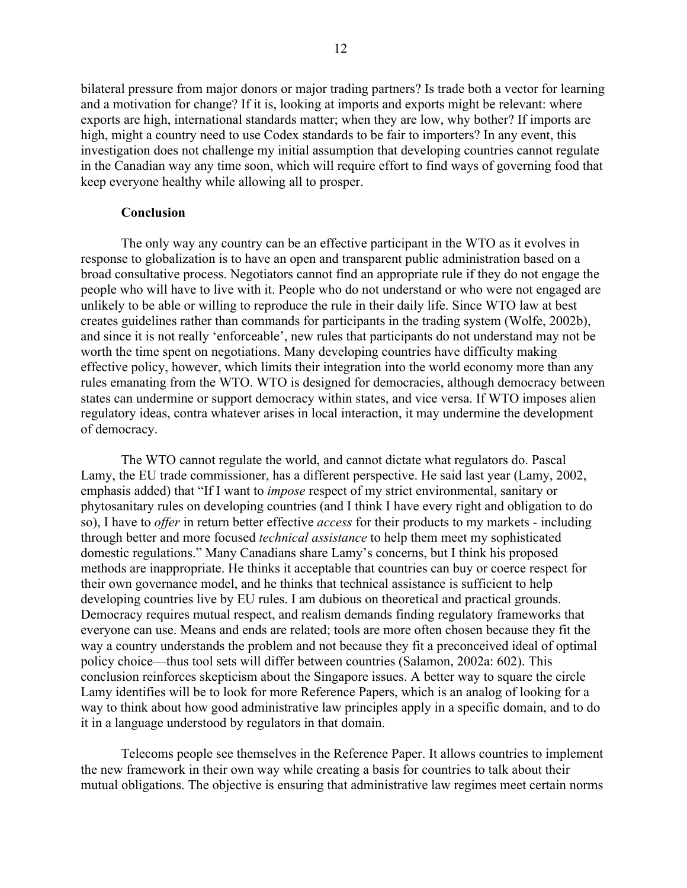bilateral pressure from major donors or major trading partners? Is trade both a vector for learning and a motivation for change? If it is, looking at imports and exports might be relevant: where exports are high, international standards matter; when they are low, why bother? If imports are high, might a country need to use Codex standards to be fair to importers? In any event, this investigation does not challenge my initial assumption that developing countries cannot regulate in the Canadian way any time soon, which will require effort to find ways of governing food that keep everyone healthy while allowing all to prosper.

#### **Conclusion**

The only way any country can be an effective participant in the WTO as it evolves in response to globalization is to have an open and transparent public administration based on a broad consultative process. Negotiators cannot find an appropriate rule if they do not engage the people who will have to live with it. People who do not understand or who were not engaged are unlikely to be able or willing to reproduce the rule in their daily life. Since WTO law at best creates guidelines rather than commands for participants in the trading system (Wolfe, 2002b), and since it is not really 'enforceable', new rules that participants do not understand may not be worth the time spent on negotiations. Many developing countries have difficulty making effective policy, however, which limits their integration into the world economy more than any rules emanating from the WTO. WTO is designed for democracies, although democracy between states can undermine or support democracy within states, and vice versa. If WTO imposes alien regulatory ideas, contra whatever arises in local interaction, it may undermine the development of democracy.

The WTO cannot regulate the world, and cannot dictate what regulators do. Pascal Lamy, the EU trade commissioner, has a different perspective. He said last year (Lamy, 2002, emphasis added) that "If I want to *impose* respect of my strict environmental, sanitary or phytosanitary rules on developing countries (and I think I have every right and obligation to do so), I have to *offer* in return better effective *access* for their products to my markets - including through better and more focused *technical assistance* to help them meet my sophisticated domestic regulations." Many Canadians share Lamy's concerns, but I think his proposed methods are inappropriate. He thinks it acceptable that countries can buy or coerce respect for their own governance model, and he thinks that technical assistance is sufficient to help developing countries live by EU rules. I am dubious on theoretical and practical grounds. Democracy requires mutual respect, and realism demands finding regulatory frameworks that everyone can use. Means and ends are related; tools are more often chosen because they fit the way a country understands the problem and not because they fit a preconceived ideal of optimal policy choice—thus tool sets will differ between countries (Salamon, 2002a: 602). This conclusion reinforces skepticism about the Singapore issues. A better way to square the circle Lamy identifies will be to look for more Reference Papers, which is an analog of looking for a way to think about how good administrative law principles apply in a specific domain, and to do it in a language understood by regulators in that domain.

Telecoms people see themselves in the Reference Paper. It allows countries to implement the new framework in their own way while creating a basis for countries to talk about their mutual obligations. The objective is ensuring that administrative law regimes meet certain norms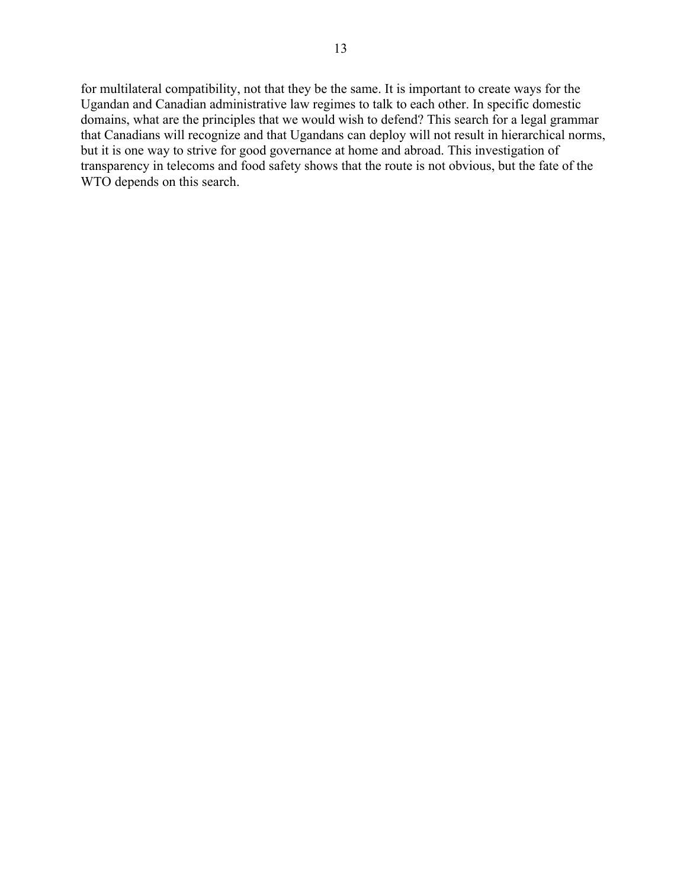for multilateral compatibility, not that they be the same. It is important to create ways for the Ugandan and Canadian administrative law regimes to talk to each other. In specific domestic domains, what are the principles that we would wish to defend? This search for a legal grammar that Canadians will recognize and that Ugandans can deploy will not result in hierarchical norms, but it is one way to strive for good governance at home and abroad. This investigation of transparency in telecoms and food safety shows that the route is not obvious, but the fate of the WTO depends on this search.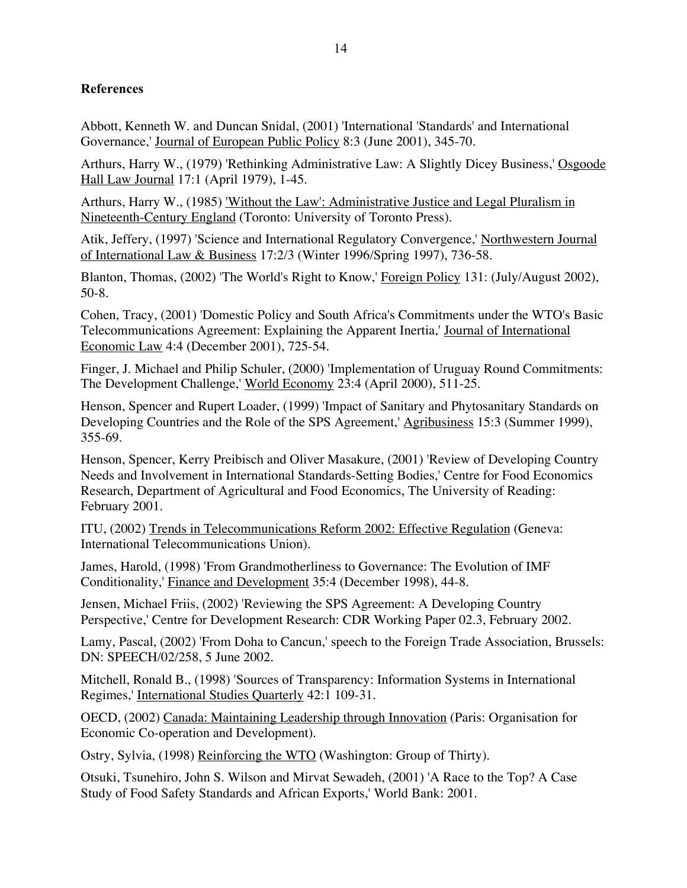# **References**

Abbott, Kenneth W. and Duncan Snidal, (2001) 'International 'Standards' and International Governance,' Journal of European Public Policy 8:3 (June 2001), 345-70.

Arthurs, Harry W., (1979) 'Rethinking Administrative Law: A Slightly Dicey Business,' Osgoode Hall Law Journal 17:1 (April 1979), 1-45.

Arthurs, Harry W., (1985) 'Without the Law': Administrative Justice and Legal Pluralism in Nineteenth-Century England (Toronto: University of Toronto Press).

Atik, Jeffery, (1997) 'Science and International Regulatory Convergence,' Northwestern Journal of International Law & Business 17:2/3 (Winter 1996/Spring 1997), 736-58.

Blanton, Thomas, (2002) 'The World's Right to Know,' Foreign Policy 131: (July/August 2002), 50-8.

Cohen, Tracy, (2001) 'Domestic Policy and South Africa's Commitments under the WTO's Basic Telecommunications Agreement: Explaining the Apparent Inertia,' Journal of International Economic Law 4:4 (December 2001), 725-54.

Finger, J. Michael and Philip Schuler, (2000) 'Implementation of Uruguay Round Commitments: The Development Challenge,' World Economy 23:4 (April 2000), 511-25.

Henson, Spencer and Rupert Loader, (1999) 'Impact of Sanitary and Phytosanitary Standards on Developing Countries and the Role of the SPS Agreement,' Agribusiness 15:3 (Summer 1999), 355-69.

Henson, Spencer, Kerry Preibisch and Oliver Masakure, (2001) 'Review of Developing Country Needs and Involvement in International Standards-Setting Bodies,' Centre for Food Economics Research, Department of Agricultural and Food Economics, The University of Reading: February 2001.

ITU, (2002) Trends in Telecommunications Reform 2002: Effective Regulation (Geneva: International Telecommunications Union).

James, Harold, (1998) 'From Grandmotherliness to Governance: The Evolution of IMF Conditionality,' Finance and Development 35:4 (December 1998), 44-8.

Jensen, Michael Friis, (2002) 'Reviewing the SPS Agreement: A Developing Country Perspective,' Centre for Development Research: CDR Working Paper 02.3, February 2002.

Lamy, Pascal, (2002) 'From Doha to Cancun,' speech to the Foreign Trade Association, Brussels: DN: SPEECH/02/258, 5 June 2002.

Mitchell, Ronald B., (1998) 'Sources of Transparency: Information Systems in International Regimes,' International Studies Quarterly 42:1 109-31.

OECD, (2002) Canada: Maintaining Leadership through Innovation (Paris: Organisation for Economic Co-operation and Development).

Ostry, Sylvia, (1998) Reinforcing the WTO (Washington: Group of Thirty).

Otsuki, Tsunehiro, John S. Wilson and Mirvat Sewadeh, (2001) 'A Race to the Top? A Case Study of Food Safety Standards and African Exports,' World Bank: 2001.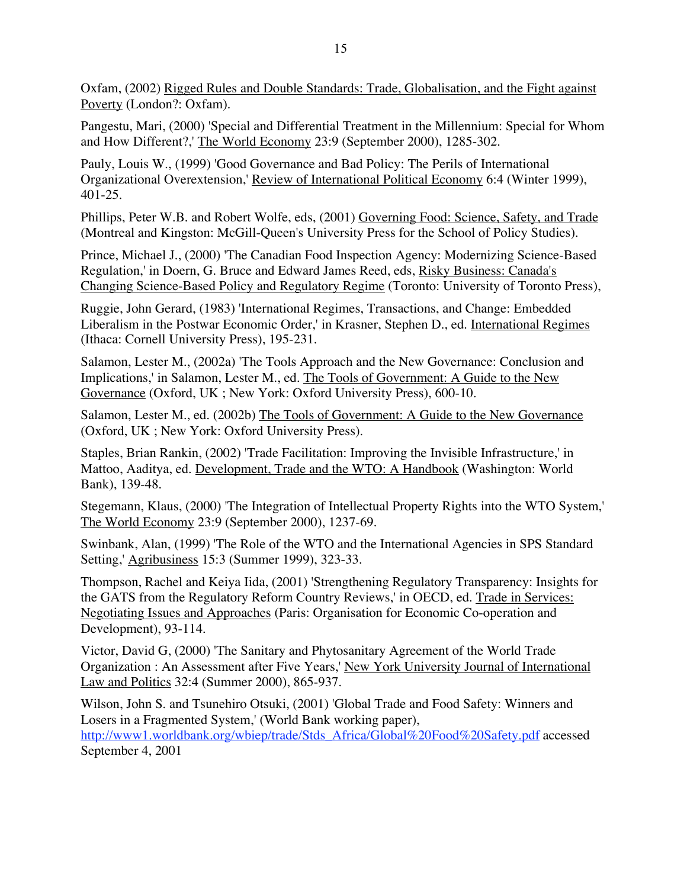Oxfam, (2002) Rigged Rules and Double Standards: Trade, Globalisation, and the Fight against Poverty (London?: Oxfam).

Pangestu, Mari, (2000) 'Special and Differential Treatment in the Millennium: Special for Whom and How Different?,' The World Economy 23:9 (September 2000), 1285-302.

Pauly, Louis W., (1999) 'Good Governance and Bad Policy: The Perils of International Organizational Overextension,' Review of International Political Economy 6:4 (Winter 1999), 401-25.

Phillips, Peter W.B. and Robert Wolfe, eds, (2001) Governing Food: Science, Safety, and Trade (Montreal and Kingston: McGill-Queen's University Press for the School of Policy Studies).

Prince, Michael J., (2000) 'The Canadian Food Inspection Agency: Modernizing Science-Based Regulation,' in Doern, G. Bruce and Edward James Reed, eds, Risky Business: Canada's Changing Science-Based Policy and Regulatory Regime (Toronto: University of Toronto Press),

Ruggie, John Gerard, (1983) 'International Regimes, Transactions, and Change: Embedded Liberalism in the Postwar Economic Order,' in Krasner, Stephen D., ed. International Regimes (Ithaca: Cornell University Press), 195-231.

Salamon, Lester M., (2002a) 'The Tools Approach and the New Governance: Conclusion and Implications,' in Salamon, Lester M., ed. The Tools of Government: A Guide to the New Governance (Oxford, UK ; New York: Oxford University Press), 600-10.

Salamon, Lester M., ed. (2002b) The Tools of Government: A Guide to the New Governance (Oxford, UK ; New York: Oxford University Press).

Staples, Brian Rankin, (2002) 'Trade Facilitation: Improving the Invisible Infrastructure,' in Mattoo, Aaditya, ed. Development, Trade and the WTO: A Handbook (Washington: World Bank), 139-48.

Stegemann, Klaus, (2000) 'The Integration of Intellectual Property Rights into the WTO System,' The World Economy 23:9 (September 2000), 1237-69.

Swinbank, Alan, (1999) 'The Role of the WTO and the International Agencies in SPS Standard Setting,' Agribusiness 15:3 (Summer 1999), 323-33.

Thompson, Rachel and Keiya Iida, (2001) 'Strengthening Regulatory Transparency: Insights for the GATS from the Regulatory Reform Country Reviews,' in OECD, ed. Trade in Services: Negotiating Issues and Approaches (Paris: Organisation for Economic Co-operation and Development), 93-114.

Victor, David G, (2000) 'The Sanitary and Phytosanitary Agreement of the World Trade Organization : An Assessment after Five Years,' New York University Journal of International Law and Politics 32:4 (Summer 2000), 865-937.

Wilson, John S. and Tsunehiro Otsuki, (2001) 'Global Trade and Food Safety: Winners and Losers in a Fragmented System,' (World Bank working paper), http://www1.worldbank.org/wbiep/trade/Stds\_Africa/Global%20Food%20Safety.pdf accessed September 4, 2001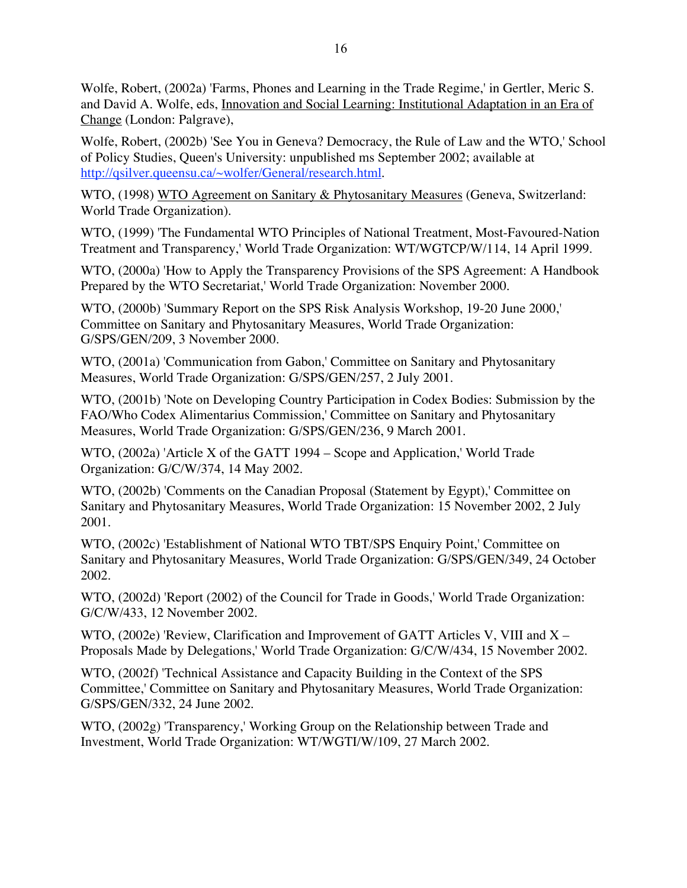Wolfe, Robert, (2002a) 'Farms, Phones and Learning in the Trade Regime,' in Gertler, Meric S. and David A. Wolfe, eds, Innovation and Social Learning: Institutional Adaptation in an Era of Change (London: Palgrave),

Wolfe, Robert, (2002b) 'See You in Geneva? Democracy, the Rule of Law and the WTO,' School of Policy Studies, Queen's University: unpublished ms September 2002; available at http://qsilver.queensu.ca/~wolfer/General/research.html.

WTO, (1998) WTO Agreement on Sanitary & Phytosanitary Measures (Geneva, Switzerland: World Trade Organization).

WTO, (1999) 'The Fundamental WTO Principles of National Treatment, Most-Favoured-Nation Treatment and Transparency,' World Trade Organization: WT/WGTCP/W/114, 14 April 1999.

WTO, (2000a) 'How to Apply the Transparency Provisions of the SPS Agreement: A Handbook Prepared by the WTO Secretariat,' World Trade Organization: November 2000.

WTO, (2000b) 'Summary Report on the SPS Risk Analysis Workshop, 19-20 June 2000,' Committee on Sanitary and Phytosanitary Measures, World Trade Organization: G/SPS/GEN/209, 3 November 2000.

WTO, (2001a) 'Communication from Gabon,' Committee on Sanitary and Phytosanitary Measures, World Trade Organization: G/SPS/GEN/257, 2 July 2001.

WTO, (2001b) 'Note on Developing Country Participation in Codex Bodies: Submission by the FAO/Who Codex Alimentarius Commission,' Committee on Sanitary and Phytosanitary Measures, World Trade Organization: G/SPS/GEN/236, 9 March 2001.

WTO, (2002a) 'Article X of the GATT 1994 – Scope and Application,' World Trade Organization: G/C/W/374, 14 May 2002.

WTO, (2002b) 'Comments on the Canadian Proposal (Statement by Egypt), 'Committee on Sanitary and Phytosanitary Measures, World Trade Organization: 15 November 2002, 2 July 2001.

WTO, (2002c) 'Establishment of National WTO TBT/SPS Enquiry Point,' Committee on Sanitary and Phytosanitary Measures, World Trade Organization: G/SPS/GEN/349, 24 October 2002.

WTO, (2002d) 'Report (2002) of the Council for Trade in Goods,' World Trade Organization: G/C/W/433, 12 November 2002.

WTO, (2002e) 'Review, Clarification and Improvement of GATT Articles V, VIII and X – Proposals Made by Delegations,' World Trade Organization: G/C/W/434, 15 November 2002.

WTO, (2002f) 'Technical Assistance and Capacity Building in the Context of the SPS Committee,' Committee on Sanitary and Phytosanitary Measures, World Trade Organization: G/SPS/GEN/332, 24 June 2002.

WTO, (2002g) 'Transparency,' Working Group on the Relationship between Trade and Investment, World Trade Organization: WT/WGTI/W/109, 27 March 2002.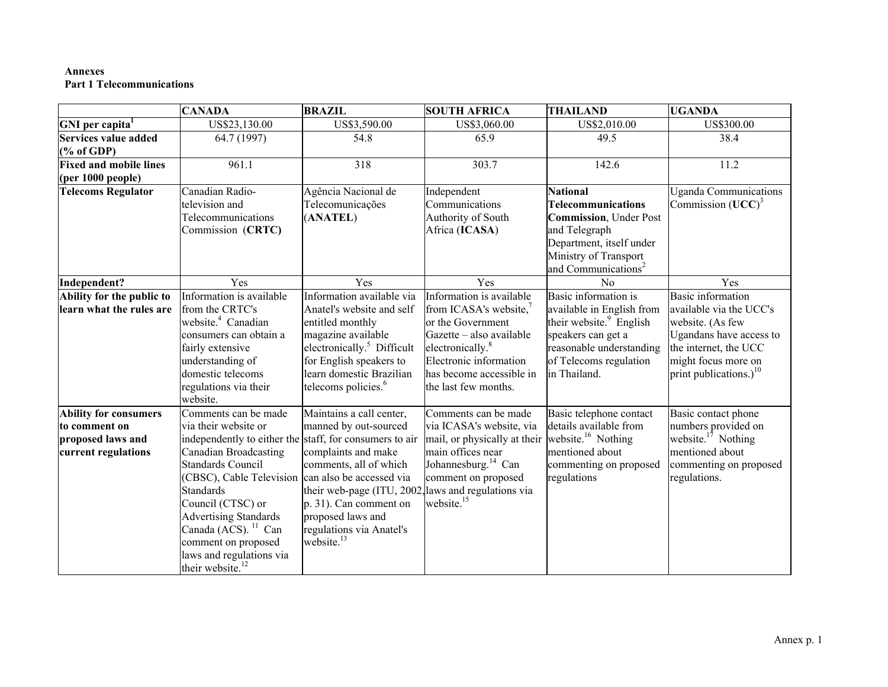#### **Annexes Part 1 Telecommunications**

|                                                    | <b>CANADA</b>                                                                                                                                                                                                                                                                                  | <b>BRAZIL</b>                                                                                                                                                                                           | <b>SOUTH AFRICA</b>                                                                                                                                                                               | <b>THAILAND</b>                                                                                                                                                                  | <b>UGANDA</b>                                                                                                                                                |
|----------------------------------------------------|------------------------------------------------------------------------------------------------------------------------------------------------------------------------------------------------------------------------------------------------------------------------------------------------|---------------------------------------------------------------------------------------------------------------------------------------------------------------------------------------------------------|---------------------------------------------------------------------------------------------------------------------------------------------------------------------------------------------------|----------------------------------------------------------------------------------------------------------------------------------------------------------------------------------|--------------------------------------------------------------------------------------------------------------------------------------------------------------|
| GNI per capita <sup>1</sup>                        | US\$23,130.00                                                                                                                                                                                                                                                                                  | US\$3,590.00                                                                                                                                                                                            | US\$3,060.00                                                                                                                                                                                      | US\$2,010.00                                                                                                                                                                     | US\$300.00                                                                                                                                                   |
| <b>Services value added</b>                        | 64.7 (1997)                                                                                                                                                                                                                                                                                    | 54.8                                                                                                                                                                                                    | 65.9                                                                                                                                                                                              | 49.5                                                                                                                                                                             | 38.4                                                                                                                                                         |
| $(% \mathbf{A})$ (% of GDP)                        |                                                                                                                                                                                                                                                                                                |                                                                                                                                                                                                         |                                                                                                                                                                                                   |                                                                                                                                                                                  |                                                                                                                                                              |
| <b>Fixed and mobile lines</b><br>(per 1000 people) | 961.1                                                                                                                                                                                                                                                                                          | 318                                                                                                                                                                                                     | 303.7                                                                                                                                                                                             | 142.6                                                                                                                                                                            | 11.2                                                                                                                                                         |
| <b>Telecoms Regulator</b>                          | Canadian Radio-<br>television and<br>Telecommunications<br>Commission (CRTC)                                                                                                                                                                                                                   | Agência Nacional de<br>Telecomunicações<br>(ANATEL)                                                                                                                                                     | Independent<br>Communications<br>Authority of South<br>Africa (ICASA)                                                                                                                             | <b>National</b><br>Telecommunications<br><b>Commission</b> , Under Post<br>and Telegraph<br>Department, itself under<br>Ministry of Transport<br>and Communications <sup>2</sup> | <b>Uganda Communications</b><br>Commission $(UCC)^3$                                                                                                         |
| Independent?                                       | Yes                                                                                                                                                                                                                                                                                            | Yes                                                                                                                                                                                                     | Yes                                                                                                                                                                                               | No                                                                                                                                                                               | Yes                                                                                                                                                          |
| Ability for the public to                          | Information is available                                                                                                                                                                                                                                                                       | Information available via                                                                                                                                                                               | Information is available                                                                                                                                                                          | Basic information is                                                                                                                                                             | <b>Basic</b> information                                                                                                                                     |
| learn what the rules are                           | from the CRTC's<br>website. <sup>4</sup> Canadian<br>consumers can obtain a<br>fairly extensive<br>understanding of<br>domestic telecoms<br>regulations via their<br>website.                                                                                                                  | Anatel's website and self<br>entitled monthly<br>magazine available<br>electronically. <sup>5</sup> Difficult<br>for English speakers to<br>learn domestic Brazilian<br>telecoms policies. <sup>6</sup> | from ICASA's website, <sup>7</sup><br>or the Government<br>Gazette - also available<br>electronically. <sup>8</sup><br>Electronic information<br>has become accessible in<br>the last few months. | available in English from<br>their website. <sup>9</sup> English<br>speakers can get a<br>reasonable understanding<br>of Telecoms regulation<br>in Thailand.                     | available via the UCC's<br>website. (As few<br>Ugandans have access to<br>the internet, the UCC<br>might focus more on<br>print publications.) <sup>10</sup> |
| <b>Ability for consumers</b>                       | Comments can be made                                                                                                                                                                                                                                                                           | Maintains a call center,                                                                                                                                                                                | Comments can be made                                                                                                                                                                              | Basic telephone contact                                                                                                                                                          | Basic contact phone                                                                                                                                          |
| to comment on<br>proposed laws and                 | via their website or<br>independently to either the staff, for consumers to air                                                                                                                                                                                                                | manned by out-sourced                                                                                                                                                                                   | via ICASA's website, via<br>mail, or physically at their                                                                                                                                          | details available from<br>website. <sup>16</sup> Nothing                                                                                                                         | numbers provided on<br>website. $17$ Nothing                                                                                                                 |
| current regulations                                | Canadian Broadcasting<br><b>Standards Council</b><br>(CBSC), Cable Television can also be accessed via<br>Standards<br>Council (CTSC) or<br><b>Advertising Standards</b><br>Canada (ACS). <sup>11</sup> Can<br>comment on proposed<br>laws and regulations via<br>their website. <sup>12</sup> | complaints and make<br>comments, all of which<br>their web-page (ITU, 2002, laws and regulations via<br>$p. 31$ ). Can comment on<br>proposed laws and<br>regulations via Anatel's<br>website. $13$     | main offices near<br>Johannesburg. <sup>14</sup> Can<br>comment on proposed<br>website. <sup>15</sup>                                                                                             | mentioned about<br>commenting on proposed<br>regulations                                                                                                                         | mentioned about<br>commenting on proposed<br>regulations.                                                                                                    |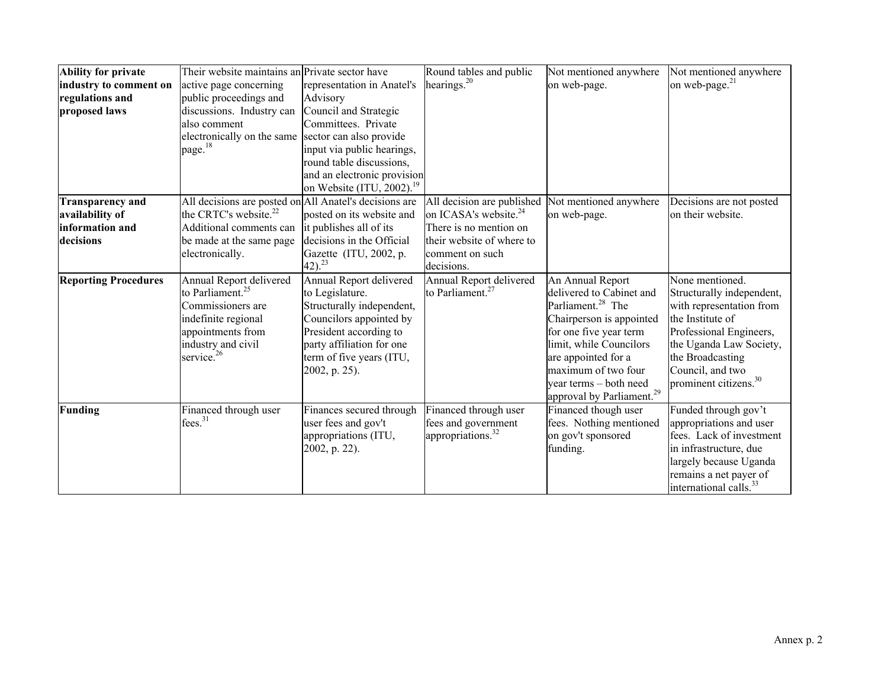| Ability for private         | Their website maintains an Private sector have         |                                       | Round tables and public                           | Not mentioned anywhere                | Not mentioned anywhere             |
|-----------------------------|--------------------------------------------------------|---------------------------------------|---------------------------------------------------|---------------------------------------|------------------------------------|
| industry to comment on      | active page concerning                                 | representation in Anatel's            | hearings. <sup>20</sup>                           | on web-page.                          | on web-page. <sup>21</sup>         |
| regulations and             | public proceedings and                                 | Advisory                              |                                                   |                                       |                                    |
| proposed laws               | discussions. Industry can                              | Council and Strategic                 |                                                   |                                       |                                    |
|                             | also comment                                           | Committees. Private                   |                                                   |                                       |                                    |
|                             | electronically on the same sector can also provide     |                                       |                                                   |                                       |                                    |
|                             | page. <sup>18</sup>                                    | input via public hearings,            |                                                   |                                       |                                    |
|                             |                                                        | round table discussions,              |                                                   |                                       |                                    |
|                             |                                                        | and an electronic provision           |                                                   |                                       |                                    |
|                             |                                                        | on Website (ITU, 2002). <sup>19</sup> |                                                   |                                       |                                    |
| <b>Transparency and</b>     | All decisions are posted on All Anatel's decisions are |                                       | All decision are published Not mentioned anywhere |                                       | Decisions are not posted           |
| availability of             | the CRTC's website. <sup>22</sup>                      | posted on its website and             | on ICASA's website. <sup>24</sup>                 | on web-page.                          | on their website.                  |
| information and             | Additional comments can                                | it publishes all of its               | There is no mention on                            |                                       |                                    |
| decisions                   | be made at the same page                               | decisions in the Official             | their website of where to                         |                                       |                                    |
|                             | electronically.                                        | Gazette (ITU, 2002, p.                | comment on such                                   |                                       |                                    |
|                             |                                                        | $(42)^{23}$                           | decisions.                                        |                                       |                                    |
| <b>Reporting Procedures</b> | Annual Report delivered                                | Annual Report delivered               | Annual Report delivered                           | An Annual Report                      | None mentioned.                    |
|                             | to Parliament. <sup>25</sup>                           | to Legislature.                       | to Parliament. <sup>27</sup>                      | delivered to Cabinet and              | Structurally independent,          |
|                             | Commissioners are                                      | Structurally independent,             |                                                   | Parliament. <sup>28</sup> The         | with representation from           |
|                             | indefinite regional                                    | Councilors appointed by               |                                                   | Chairperson is appointed              | the Institute of                   |
|                             | appointments from                                      | President according to                |                                                   | for one five year term                | Professional Engineers,            |
|                             | industry and civil                                     | party affiliation for one             |                                                   | limit, while Councilors               | the Uganda Law Society,            |
|                             | service. <sup>26</sup>                                 | term of five years (ITU,              |                                                   | are appointed for a                   | the Broadcasting                   |
|                             |                                                        | [2002, p. 25].                        |                                                   | maximum of two four                   | Council, and two                   |
|                             |                                                        |                                       |                                                   | year terms – both need                | prominent citizens. <sup>30</sup>  |
|                             |                                                        |                                       |                                                   | approval by Parliament. <sup>29</sup> |                                    |
| Funding                     | Financed through user                                  | Finances secured through              | Financed through user                             | Financed though user                  | Funded through gov't               |
|                             | fees. <sup>31</sup>                                    | user fees and gov't                   | fees and government                               | fees. Nothing mentioned               | appropriations and user            |
|                             |                                                        | appropriations (ITU,                  | appropriations. <sup>32</sup>                     | on gov't sponsored                    | fees. Lack of investment           |
|                             |                                                        | 2002, p. 22).                         |                                                   | funding.                              | in infrastructure, due             |
|                             |                                                        |                                       |                                                   |                                       | largely because Uganda             |
|                             |                                                        |                                       |                                                   |                                       | remains a net payer of             |
|                             |                                                        |                                       |                                                   |                                       | international calls. <sup>33</sup> |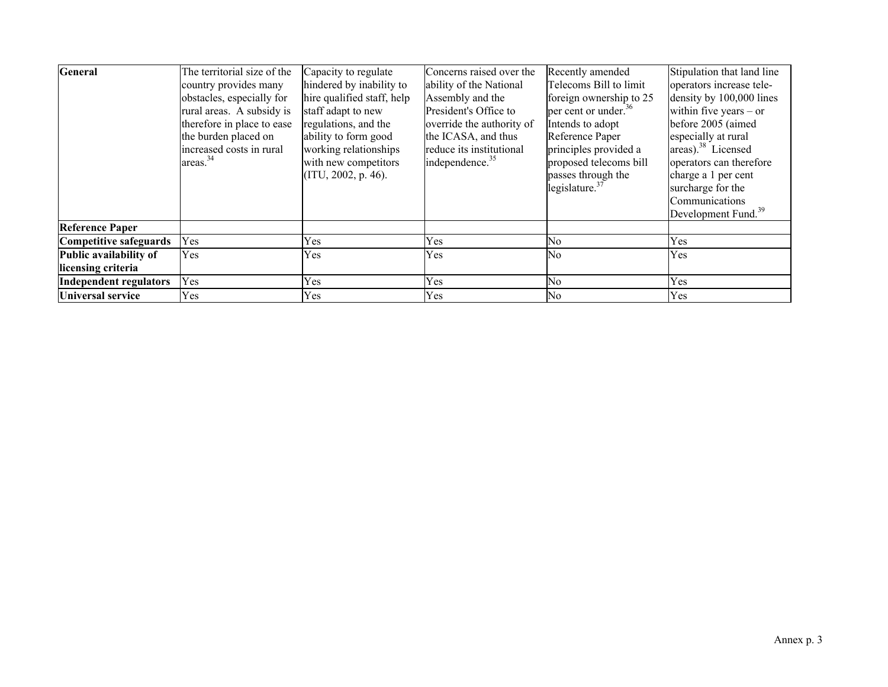| <b>General</b>                | The territorial size of the | Capacity to regulate       | Concerns raised over the    | Recently amended                       | Stipulation that land line      |
|-------------------------------|-----------------------------|----------------------------|-----------------------------|----------------------------------------|---------------------------------|
|                               | country provides many       | hindered by inability to   | ability of the National     | Telecoms Bill to limit                 | operators increase tele-        |
|                               | obstacles, especially for   | hire qualified staff, help | Assembly and the            | foreign ownership to 25                | density by 100,000 lines        |
|                               | rural areas. A subsidy is   | staff adapt to new         | President's Office to       | $\mu$ per cent or under. <sup>36</sup> | within five years $-$ or        |
|                               | therefore in place to ease  | regulations, and the       | override the authority of   | Intends to adopt                       | before 2005 (aimed              |
|                               | the burden placed on        | ability to form good       | the ICASA, and thus         | Reference Paper                        | especially at rural             |
|                               | increased costs in rural    | working relationships      | reduce its institutional    | principles provided a                  | areas). $38$ Licensed           |
|                               | area <sup>34</sup>          | with new competitors       | independence. <sup>35</sup> | proposed telecoms bill                 | operators can therefore         |
|                               |                             | (ITU, 2002, p. 46).        |                             | passes through the                     | charge a 1 per cent             |
|                               |                             |                            |                             | legislature. $37$                      | surcharge for the               |
|                               |                             |                            |                             |                                        | Communications                  |
|                               |                             |                            |                             |                                        | Development Fund. <sup>39</sup> |
| <b>Reference Paper</b>        |                             |                            |                             |                                        |                                 |
| Competitive safeguards        | Yes                         | Yes                        | Yes                         | No                                     | Yes                             |
| Public availability of        | Yes                         | Yes                        | Yes                         | No                                     | <b>Yes</b>                      |
| licensing criteria            |                             |                            |                             |                                        |                                 |
| <b>Independent regulators</b> | Yes                         | Yes                        | Yes                         | No                                     | Yes                             |
| <b>Universal service</b>      | Yes                         | Yes                        | Yes                         | N <sub>0</sub>                         | Yes                             |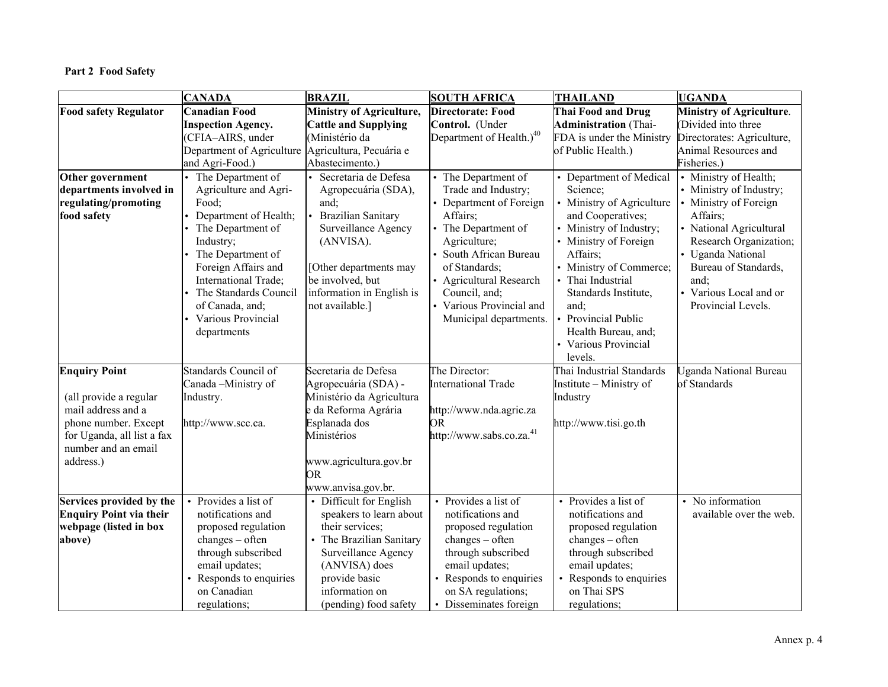# **Part 2 Food Safety**

|                                | <b>CANADA</b>                                     | <b>BRAZIL</b>                   | <b>SOUTH AFRICA</b>                  | <b>THAILAND</b>              | <b>UGANDA</b>                   |
|--------------------------------|---------------------------------------------------|---------------------------------|--------------------------------------|------------------------------|---------------------------------|
| <b>Food safety Regulator</b>   | <b>Canadian Food</b>                              | <b>Ministry of Agriculture,</b> | <b>Directorate: Food</b>             | Thai Food and Drug           | <b>Ministry of Agriculture.</b> |
|                                | <b>Inspection Agency.</b>                         | <b>Cattle and Supplying</b>     | Control. (Under                      | <b>Administration</b> (Thai- | (Divided into three             |
|                                | (CFIA-AIRS, under                                 | (Ministério da                  | Department of Health.) <sup>40</sup> | FDA is under the Ministry    | Directorates: Agriculture,      |
|                                | Department of Agriculture Agricultura, Pecuária e |                                 |                                      | of Public Health.)           | Animal Resources and            |
|                                | and Agri-Food.)                                   | Abastecimento.)                 |                                      |                              | Fisheries.)                     |
| Other government               | The Department of                                 | Secretaria de Defesa            | The Department of                    | Department of Medical        | Ministry of Health;             |
| departments involved in        | Agriculture and Agri-                             | Agropecuária (SDA),             | Trade and Industry;                  | Science;                     | Ministry of Industry;           |
| regulating/promoting           | Food;                                             | and;                            | Department of Foreign                | Ministry of Agriculture      | Ministry of Foreign             |
| food safety                    | Department of Health;                             | <b>Brazilian Sanitary</b>       | Affairs;                             | and Cooperatives;            | Affairs;                        |
|                                | The Department of                                 | Surveillance Agency             | The Department of                    | Ministry of Industry;        | National Agricultural           |
|                                | Industry;                                         | (ANVISA).                       | Agriculture;                         | Ministry of Foreign          | Research Organization;          |
|                                | The Department of                                 |                                 | South African Bureau                 | Affairs:                     | <b>Uganda National</b>          |
|                                | Foreign Affairs and                               | [Other departments may          | of Standards;                        | Ministry of Commerce;        | Bureau of Standards,            |
|                                | International Trade;                              | be involved, but                | <b>Agricultural Research</b>         | Thai Industrial              | and;                            |
|                                | The Standards Council                             | information in English is       | Council, and;                        | Standards Institute,         | Various Local and or            |
|                                | of Canada, and;                                   | not available.]                 | Various Provincial and               | and;                         | Provincial Levels.              |
|                                | Various Provincial                                |                                 | Municipal departments.               | Provincial Public            |                                 |
|                                | departments                                       |                                 |                                      | Health Bureau, and;          |                                 |
|                                |                                                   |                                 |                                      | Various Provincial           |                                 |
|                                |                                                   |                                 |                                      | levels.                      |                                 |
| <b>Enquiry Point</b>           | Standards Council of                              | Secretaria de Defesa            | The Director:                        | Thai Industrial Standards    | Jganda National Bureau          |
|                                | Canada-Ministry of                                | Agropecuária (SDA) -            | <b>International Trade</b>           | Institute - Ministry of      | of Standards                    |
| (all provide a regular         | Industry.                                         | Ministério da Agricultura       |                                      | Industry                     |                                 |
| mail address and a             |                                                   | e da Reforma Agrária            | http://www.nda.agric.za              |                              |                                 |
| phone number. Except           | http://www.scc.ca.                                | Esplanada dos                   | OR                                   | http://www.tisi.go.th        |                                 |
| for Uganda, all list a fax     |                                                   | Ministérios                     | http://www.sabs.co.za. <sup>41</sup> |                              |                                 |
| number and an email            |                                                   |                                 |                                      |                              |                                 |
| address.)                      |                                                   | www.agricultura.gov.br          |                                      |                              |                                 |
|                                |                                                   | <b>OR</b>                       |                                      |                              |                                 |
|                                |                                                   | www.anvisa.gov.br.              |                                      |                              |                                 |
| Services provided by the       | Provides a list of                                | Difficult for English           | Provides a list of                   | Provides a list of           | No information                  |
| <b>Enquiry Point via their</b> | notifications and                                 | speakers to learn about         | notifications and                    | notifications and            | available over the web.         |
| webpage (listed in box         | proposed regulation                               | their services;                 | proposed regulation                  | proposed regulation          |                                 |
| above)                         | $changes - often$                                 | The Brazilian Sanitary          | $changes - often$                    | $changes - often$            |                                 |
|                                | through subscribed                                | Surveillance Agency             | through subscribed                   | through subscribed           |                                 |
|                                | email updates;                                    | (ANVISA) does                   | email updates;                       | email updates;               |                                 |
|                                | Responds to enquiries                             | provide basic                   | Responds to enquiries                | Responds to enquiries        |                                 |
|                                | on Canadian                                       | information on                  | on SA regulations;                   | on Thai SPS                  |                                 |
|                                | regulations;                                      | (pending) food safety           | Disseminates foreign                 | regulations;                 |                                 |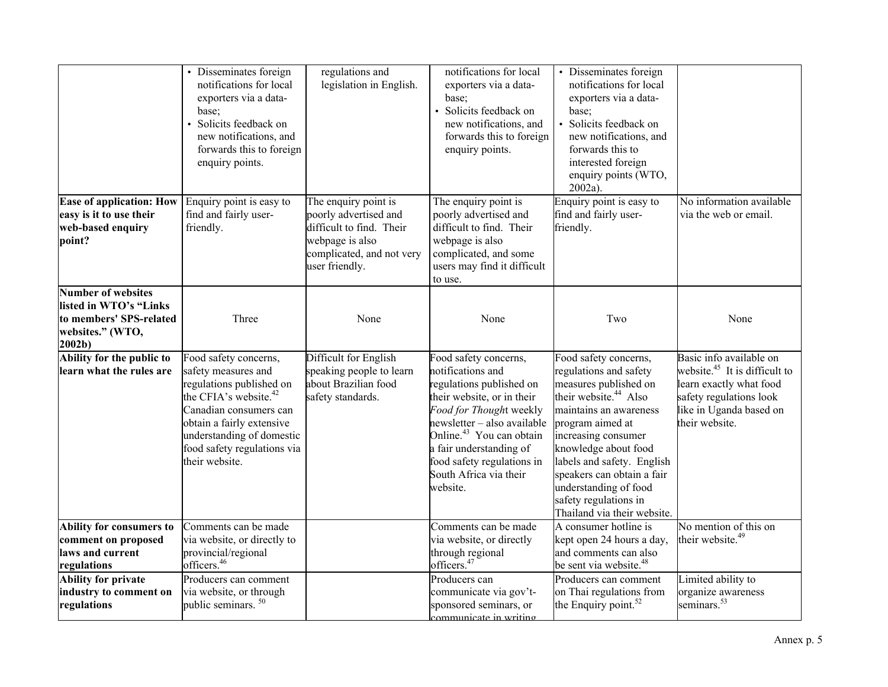|                                                                                                                         | Disseminates foreign<br>notifications for local<br>exporters via a data-<br>base;<br>Solicits feedback on<br>new notifications, and<br>forwards this to foreign<br>enquiry points.                                                                 | regulations and<br>legislation in English.                                                                                                  | notifications for local<br>exporters via a data-<br>base:<br>Solicits feedback on<br>new notifications, and<br>forwards this to foreign<br>enquiry points.                                                                                                                                            | Disseminates foreign<br>notifications for local<br>exporters via a data-<br>base;<br>Solicits feedback on<br>new notifications, and<br>forwards this to<br>interested foreign<br>enquiry points (WTO,<br>$2002a$ ).                                                                                                                                     |                                                                                                                                                                |
|-------------------------------------------------------------------------------------------------------------------------|----------------------------------------------------------------------------------------------------------------------------------------------------------------------------------------------------------------------------------------------------|---------------------------------------------------------------------------------------------------------------------------------------------|-------------------------------------------------------------------------------------------------------------------------------------------------------------------------------------------------------------------------------------------------------------------------------------------------------|---------------------------------------------------------------------------------------------------------------------------------------------------------------------------------------------------------------------------------------------------------------------------------------------------------------------------------------------------------|----------------------------------------------------------------------------------------------------------------------------------------------------------------|
| <b>Ease of application: How</b><br>easy is it to use their<br>web-based enquiry<br>point?                               | Enquiry point is easy to<br>find and fairly user-<br>friendly.                                                                                                                                                                                     | The enquiry point is<br>poorly advertised and<br>difficult to find. Their<br>webpage is also<br>complicated, and not very<br>user friendly. | The enquiry point is<br>poorly advertised and<br>difficult to find. Their<br>webpage is also<br>complicated, and some<br>users may find it difficult<br>to use.                                                                                                                                       | Enquiry point is easy to<br>find and fairly user-<br>friendly.                                                                                                                                                                                                                                                                                          | No information available<br>via the web or email.                                                                                                              |
| <b>Number of websites</b><br>listed in WTO's "Links<br>to members' SPS-related<br>websites." (WTO,<br>2002 <sub>b</sub> | Three                                                                                                                                                                                                                                              | None                                                                                                                                        | None                                                                                                                                                                                                                                                                                                  | Two                                                                                                                                                                                                                                                                                                                                                     | None                                                                                                                                                           |
| Ability for the public to<br>learn what the rules are                                                                   | Food safety concerns,<br>safety measures and<br>regulations published on<br>the CFIA's website. <sup>42</sup><br>Canadian consumers can<br>obtain a fairly extensive<br>understanding of domestic<br>food safety regulations via<br>their website. | Difficult for English<br>speaking people to learn<br>about Brazilian food<br>safety standards.                                              | Food safety concerns,<br>notifications and<br>regulations published on<br>their website, or in their<br>Food for Thought weekly<br>newsletter - also available<br>Online. <sup>43</sup> You can obtain<br>a fair understanding of<br>food safety regulations in<br>South Africa via their<br>website. | Food safety concerns,<br>regulations and safety<br>measures published on<br>their website. <sup>44</sup> Also<br>maintains an awareness<br>program aimed at<br>increasing consumer<br>knowledge about food<br>labels and safety. English<br>speakers can obtain a fair<br>understanding of food<br>safety regulations in<br>Thailand via their website. | Basic info available on<br>website. $45$ It is difficult to<br>learn exactly what food<br>safety regulations look<br>like in Uganda based on<br>their website. |
| Ability for consumers to<br>comment on proposed<br>laws and current<br>regulations                                      | Comments can be made<br>via website, or directly to<br>provincial/regional<br>officers. <sup>46</sup>                                                                                                                                              |                                                                                                                                             | Comments can be made<br>via website, or directly<br>through regional<br>officers. <sup>47</sup>                                                                                                                                                                                                       | A consumer hotline is<br>kept open 24 hours a day,<br>and comments can also<br>be sent via website. <sup>48</sup>                                                                                                                                                                                                                                       | No mention of this on<br>their website. <sup>49</sup>                                                                                                          |
| <b>Ability for private</b><br>industry to comment on<br>regulations                                                     | Producers can comment<br>via website, or through<br>public seminars. <sup>50</sup>                                                                                                                                                                 |                                                                                                                                             | Producers can<br>communicate via gov't-<br>sponsored seminars, or<br>communicate in writing                                                                                                                                                                                                           | Producers can comment<br>on Thai regulations from<br>the Enquiry point. <sup>52</sup>                                                                                                                                                                                                                                                                   | Limited ability to<br>organize awareness<br>seminars. <sup>53</sup>                                                                                            |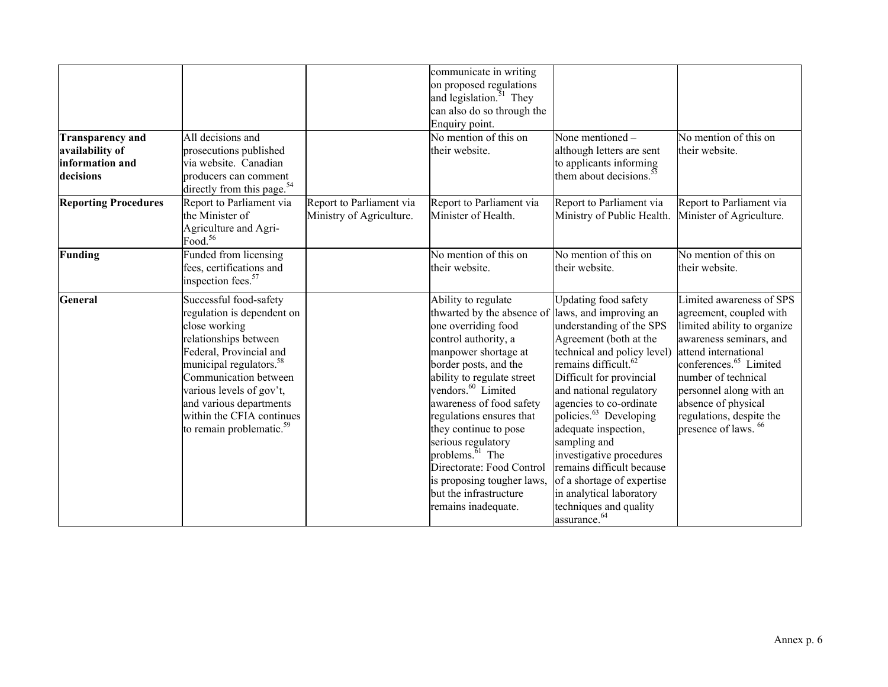| <b>Transparency and</b><br>availability of<br>information and<br>decisions | All decisions and<br>prosecutions published<br>via website. Canadian<br>producers can comment<br>directly from this page. <sup>54</sup>                                                                                                                                                                               |                                                      | communicate in writing<br>on proposed regulations<br>and legislation. $51$ They<br>can also do so through the<br>Enquiry point.<br>No mention of this on<br>their website.                                                                                                                                                                                                                                                                                                                                | None mentioned -<br>although letters are sent<br>to applicants informing<br>them about decisions. <sup>51</sup>                                                                                                                                                                                                                                                                                                                                                                               | No mention of this on<br>their website.                                                                                                                                                                                                                                                                             |
|----------------------------------------------------------------------------|-----------------------------------------------------------------------------------------------------------------------------------------------------------------------------------------------------------------------------------------------------------------------------------------------------------------------|------------------------------------------------------|-----------------------------------------------------------------------------------------------------------------------------------------------------------------------------------------------------------------------------------------------------------------------------------------------------------------------------------------------------------------------------------------------------------------------------------------------------------------------------------------------------------|-----------------------------------------------------------------------------------------------------------------------------------------------------------------------------------------------------------------------------------------------------------------------------------------------------------------------------------------------------------------------------------------------------------------------------------------------------------------------------------------------|---------------------------------------------------------------------------------------------------------------------------------------------------------------------------------------------------------------------------------------------------------------------------------------------------------------------|
| <b>Reporting Procedures</b>                                                | Report to Parliament via<br>the Minister of<br>Agriculture and Agri-<br>Food. <sup>56</sup>                                                                                                                                                                                                                           | Report to Parliament via<br>Ministry of Agriculture. | Report to Parliament via<br>Minister of Health.                                                                                                                                                                                                                                                                                                                                                                                                                                                           | Report to Parliament via<br>Ministry of Public Health.                                                                                                                                                                                                                                                                                                                                                                                                                                        | Report to Parliament via<br>Minister of Agriculture.                                                                                                                                                                                                                                                                |
| Funding                                                                    | Funded from licensing<br>fees, certifications and<br>inspection fees. <sup>57</sup>                                                                                                                                                                                                                                   |                                                      | No mention of this on<br>their website.                                                                                                                                                                                                                                                                                                                                                                                                                                                                   | No mention of this on<br>their website.                                                                                                                                                                                                                                                                                                                                                                                                                                                       | No mention of this on<br>their website.                                                                                                                                                                                                                                                                             |
| General                                                                    | Successful food-safety<br>regulation is dependent on<br>close working<br>relationships between<br>Federal, Provincial and<br>municipal regulators. <sup>58</sup><br>Communication between<br>various levels of gov't,<br>and various departments<br>within the CFIA continues<br>to remain problematic. <sup>59</sup> |                                                      | Ability to regulate<br>thwarted by the absence of llaws, and improving an<br>one overriding food<br>control authority, a<br>manpower shortage at<br>border posts, and the<br>ability to regulate street<br>vendors. <sup>60</sup> Limited<br>awareness of food safety<br>regulations ensures that<br>they continue to pose<br>serious regulatory<br>problems. $\overline{6}$ <sup>1</sup> The<br>Directorate: Food Control<br>is proposing tougher laws,<br>but the infrastructure<br>remains inadequate. | <b>Updating food safety</b><br>understanding of the SPS<br>Agreement (both at the<br>technical and policy level)<br>remains difficult. <sup>62</sup><br>Difficult for provincial<br>and national regulatory<br>agencies to co-ordinate<br>policies. <sup>63</sup> Developing<br>adequate inspection,<br>sampling and<br>investigative procedures<br>remains difficult because<br>of a shortage of expertise<br>in analytical laboratory<br>techniques and quality<br>assurance. <sup>64</sup> | Limited awareness of SPS<br>agreement, coupled with<br>limited ability to organize<br>awareness seminars, and<br>attend international<br>conferences. <sup>65</sup> Limited<br>number of technical<br>personnel along with an<br>absence of physical<br>regulations, despite the<br>presence of laws. <sup>66</sup> |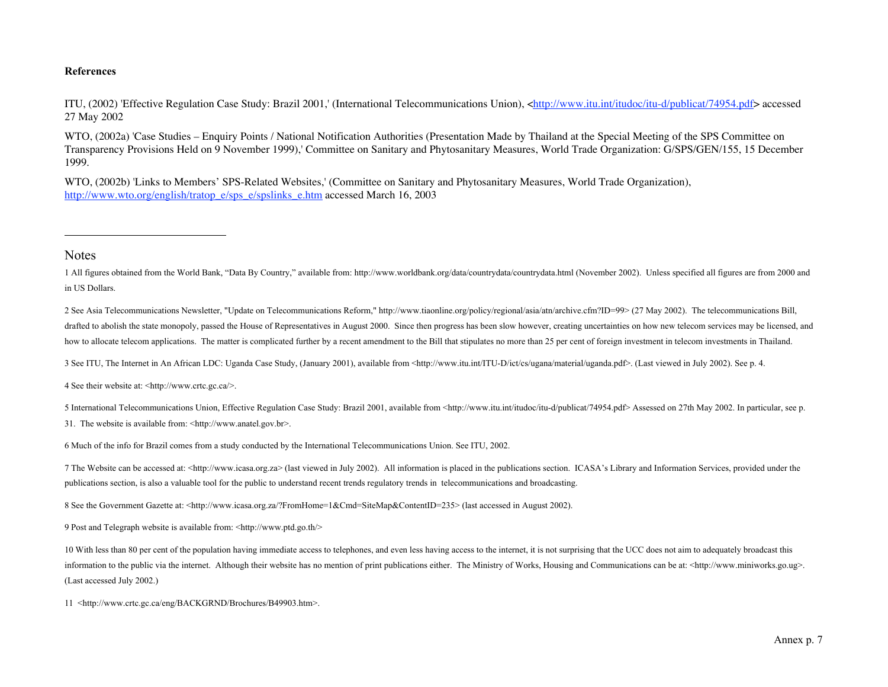#### **References**

ITU, (2002) 'Effective Regulation Case Study: Brazil 2001,' (International Telecommunications Union), <http://www.itu.int/itudoc/itu-d/publicat/74954.pdf> accessed 27 May 2002

WTO, (2002a) 'Case Studies – Enquiry Points / National Notification Authorities (Presentation Made by Thailand at the Special Meeting of the SPS Committee on Transparency Provisions Held on 9 November 1999),' Committee on Sanitary and Phytosanitary Measures, World Trade Organization: G/SPS/GEN/155, 15 December 1999.

WTO, (2002b) 'Links to Members' SPS-Related Websites,' (Committee on Sanitary and Phytosanitary Measures, World Trade Organization), http://www.wto.org/english/tratop\_e/sps\_e/spslinks\_e.htm accessed March 16, 2003

#### **Notes**

l

1 All figures obtained from the World Bank, "Data By Country," available from: http://www.worldbank.org/data/countrydata/countrydata.html (November 2002). Unless specified all figures are from 2000 and in US Dollars.

2 See Asia Telecommunications Newsletter, "Update on Telecommunications Reform," http://www.tiaonline.org/policy/regional/asia/atn/archive.cfm?ID=99> (27 May 2002). The telecommunications Bill, drafted to abolish the state monopoly, passed the House of Representatives in August 2000. Since then progress has been slow however, creating uncertainties on how new telecom services may be licensed, and how to allocate telecom applications. The matter is complicated further by a recent amendment to the Bill that stipulates no more than 25 per cent of foreign investment in telecom investments in Thailand.

3 See ITU, The Internet in An African LDC: Uganda Case Study, (January 2001), available from <http://www.itu.int/ITU-D/ict/cs/ugana/material/uganda.pdf>. (Last viewed in July 2002). See p. 4.

4 See their website at: <http://www.crtc.gc.ca/>.

5 International Telecommunications Union, Effective Regulation Case Study: Brazil 2001, available from <http://www.itu.int/itudoc/itu-d/publicat/74954.pdf> Assessed on 27th May 2002. In particular, see p. 31. The website is available from: <http://www.anatel.gov.br>.

6 Much of the info for Brazil comes from a study conducted by the International Telecommunications Union. See ITU, 2002.

7 The Website can be accessed at: <http://www.icasa.org.za> (last viewed in July 2002). All information is placed in the publications section. ICASA's Library and Information Services, provided under the publications section, is also a valuable tool for the public to understand recent trends regulatory trends in telecommunications and broadcasting.

8 See the Government Gazette at: <http://www.icasa.org.za/?FromHome=1&Cmd=SiteMap&ContentID=235> (last accessed in August 2002).

9 Post and Telegraph website is available from: <http://www.ptd.go.th/>

10 With less than 80 per cent of the population having immediate access to telephones, and even less having access to the internet, it is not surprising that the UCC does not aim to adequately broadcast this information to the public via the internet. Although their website has no mention of print publications either. The Ministry of Works, Housing and Communications can be at: <http://www.miniworks.go.ug>. (Last accessed July 2002.)

11 <http://www.crtc.gc.ca/eng/BACKGRND/Brochures/B49903.htm>.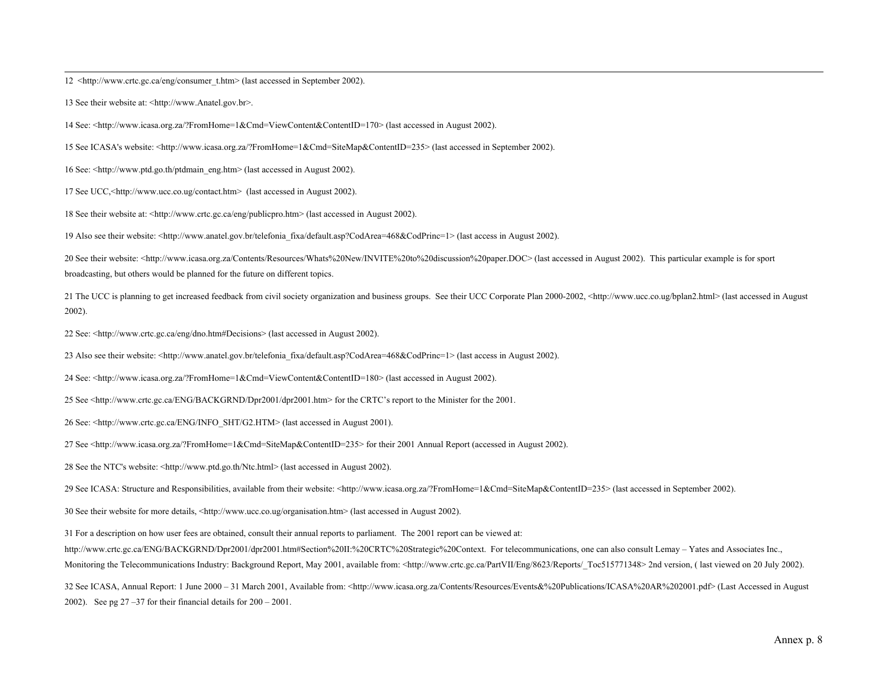12 <http://www.crtc.gc.ca/eng/consumer\_t.htm> (last accessed in September 2002).

13 See their website at: <http://www.Anatel.gov.br>.

14 See: <http://www.icasa.org.za/?FromHome=1&Cmd=ViewContent&ContentID=170> (last accessed in August 2002).

15 See ICASA's website: <http://www.icasa.org.za/?FromHome=1&Cmd=SiteMap&ContentID=235> (last accessed in September 2002).

16 See: <http://www.ptd.go.th/ptdmain\_eng.htm> (last accessed in August 2002).

17 See UCC,<http://www.ucc.co.ug/contact.htm> (last accessed in August 2002).

18 See their website at: <http://www.crtc.gc.ca/eng/publicpro.htm> (last accessed in August 2002).

19 Also see their website: <http://www.anatel.gov.br/telefonia\_fixa/default.asp?CodArea=468&CodPrinc=1> (last access in August 2002).

20 See their website: <http://www.icasa.org.za/Contents/Resources/Whats%20New/INVITE%20to%20discussion%20paper.DOC> (last accessed in August 2002). This particular example is for sport broadcasting, but others would be planned for the future on different topics.

21 The UCC is planning to get increased feedback from civil society organization and business groups. See their UCC Corporate Plan 2000-2002, <http://www.ucc.co.ug/bplan2.html> (last accessed in August 2002).

22 See: <http://www.crtc.gc.ca/eng/dno.htm#Decisions> (last accessed in August 2002).

23 Also see their website: <http://www.anatel.gov.br/telefonia\_fixa/default.asp?CodArea=468&CodPrinc=1> (last access in August 2002).

24 See: <http://www.icasa.org.za/?FromHome=1&Cmd=ViewContent&ContentID=180> (last accessed in August 2002).

25 See <http://www.crtc.gc.ca/ENG/BACKGRND/Dpr2001/dpr2001.htm> for the CRTC's report to the Minister for the 2001.

26 See: <http://www.crtc.gc.ca/ENG/INFO\_SHT/G2.HTM> (last accessed in August 2001).

27 See <http://www.icasa.org.za/?FromHome=1&Cmd=SiteMap&ContentID=235> for their 2001 Annual Report (accessed in August 2002).

28 See the NTC's website: <http://www.ptd.go.th/Ntc.html> (last accessed in August 2002).

29 See ICASA: Structure and Responsibilities, available from their website: <http://www.icasa.org.za/?FromHome=1&Cmd=SiteMap&ContentID=235> (last accessed in September 2002).

30 See their website for more details, <http://www.ucc.co.ug/organisation.htm> (last accessed in August 2002).

31 For a description on how user fees are obtained, consult their annual reports to parliament. The 2001 report can be viewed at:

http://www.crtc.gc.ca/ENG/BACKGRND/Dpr2001/dpr2001.htm#Section%20II:%20CRTC%20Strategic%20Context. For telecommunications, one can also consult Lemay – Yates and Associates Inc.,

Monitoring the Telecommunications Industry: Background Report, May 2001, available from: <http://www.crtc.gc.ca/PartVII/Eng/8623/Reports/ Toc515771348> 2nd version, ( last viewed on 20 July 2002).

32 See ICASA, Annual Report: 1 June 2000 – 31 March 2001, Available from: <http://www.icasa.org.za/Contents/Resources/Events&%20Publications/ICASA%20AR%202001.pdf> (Last Accessed in August 2002). See pg  $27 - 37$  for their financial details for  $200 - 2001$ .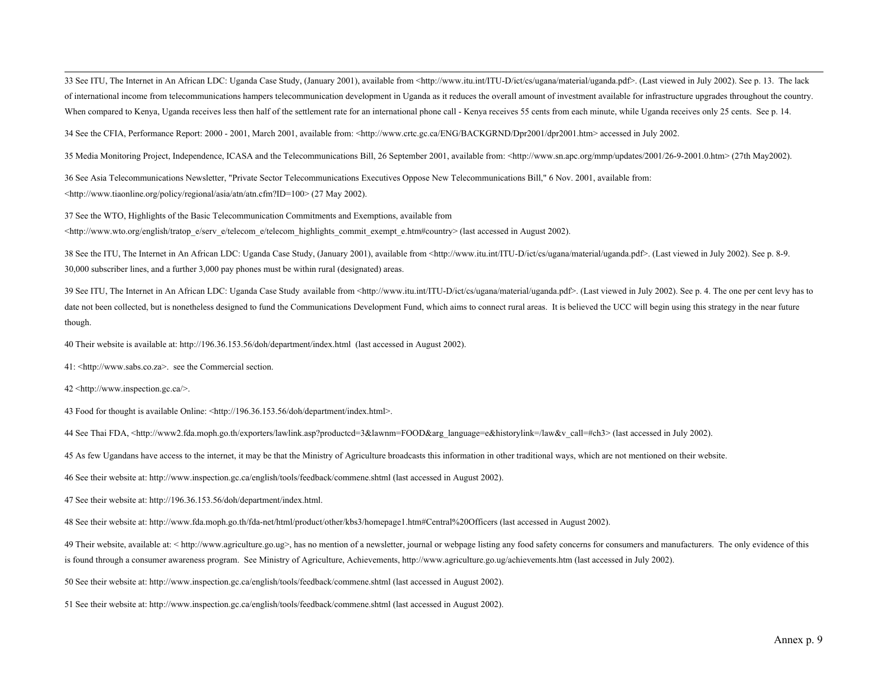33 See ITU, The Internet in An African LDC: Uganda Case Study, (January 2001), available from <http://www.itu.int/ITU-D/ict/cs/ugana/material/uganda.pdf>. (Last viewed in July 2002). See p. 13. The lack of international income from telecommunications hampers telecommunication development in Uganda as it reduces the overall amount of investment available for infrastructure upgrades throughout the country. When compared to Kenya, Uganda receives less then half of the settlement rate for an international phone call - Kenya receives 55 cents from each minute, while Uganda receives only 25 cents. See p. 14.

34 See the CFIA, Performance Report: 2000 - 2001, March 2001, available from: <http://www.crtc.gc.ca/ENG/BACKGRND/Dpr2001/dpr2001.htm> accessed in July 2002.

35 Media Monitoring Project, Independence, ICASA and the Telecommunications Bill, 26 September 2001, available from: <http://www.sn.apc.org/mmp/updates/2001/26-9-2001.0.htm> (27th May2002).

36 See Asia Telecommunications Newsletter, "Private Sector Telecommunications Executives Oppose New Telecommunications Bill," 6 Nov. 2001, available from: <http://www.tiaonline.org/policy/regional/asia/atn/atn.cfm?ID=100> (27 May 2002).

37 See the WTO, Highlights of the Basic Telecommunication Commitments and Exemptions, available from <http://www.wto.org/english/tratop\_e/serv\_e/telecom\_e/telecom\_highlights\_commit\_exempt\_e.htm#country> (last accessed in August 2002).

38 See the ITU, The Internet in An African LDC: Uganda Case Study, (January 2001), available from <http://www.itu.int/ITU-D/ict/cs/ugana/material/uganda.pdf>. (Last viewed in July 2002). See p. 8-9. 30,000 subscriber lines, and a further 3,000 pay phones must be within rural (designated) areas.

39 See ITU, The Internet in An African LDC: Uganda Case Study available from <http://www.itu.int/ITU-D/ict/cs/ugana/material/uganda.pdf>. (Last viewed in July 2002). See p. 4. The one per cent levy has to date not been collected, but is nonetheless designed to fund the Communications Development Fund, which aims to connect rural areas. It is believed the UCC will begin using this strategy in the near future though.

40 Their website is available at: http://196.36.153.56/doh/department/index.html (last accessed in August 2002).

41: <http://www.sabs.co.za>. see the Commercial section.

42 <http://www.inspection.gc.ca/>.

43 Food for thought is available Online: <http://196.36.153.56/doh/department/index.html>.

44 See Thai FDA, <http://www2.fda.moph.go.th/exporters/lawlink.asp?producted=3&lawnm=FOOD&arg\_language=e&historylink=/law&v\_call=#ch3> (last accessed in July 2002).

45 As few Ugandans have access to the internet, it may be that the Ministry of Agriculture broadcasts this information in other traditional ways, which are not mentioned on their website.

46 See their website at: http://www.inspection.gc.ca/english/tools/feedback/commene.shtml (last accessed in August 2002).

47 See their website at: http://196.36.153.56/doh/department/index.html.

48 See their website at: http://www.fda.moph.go.th/fda-net/html/product/other/kbs3/homepage1.htm#Central%20Officers (last accessed in August 2002).

49 Their website, available at: < http://www.agriculture.go.ug>, has no mention of a newsletter, journal or webpage listing any food safety concerns for consumers and manufacturers. The only evidence of this is found through a consumer awareness program. See Ministry of Agriculture, Achievements, http://www.agriculture.go.ug/achievements.htm (last accessed in July 2002).

50 See their website at: http://www.inspection.gc.ca/english/tools/feedback/commene.shtml (last accessed in August 2002).

51 See their website at: http://www.inspection.gc.ca/english/tools/feedback/commene.shtml (last accessed in August 2002).